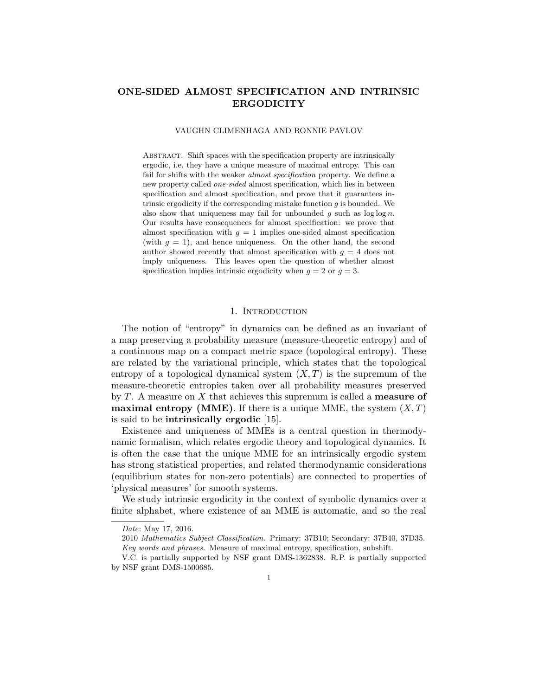# ONE-SIDED ALMOST SPECIFICATION AND INTRINSIC **ERGODICITY**

#### VAUGHN CLIMENHAGA AND RONNIE PAVLOV

Abstract. Shift spaces with the specification property are intrinsically ergodic, i.e. they have a unique measure of maximal entropy. This can fail for shifts with the weaker *almost specification* property. We define a new property called one-sided almost specification, which lies in between specification and almost specification, and prove that it guarantees intrinsic ergodicity if the corresponding mistake function  $g$  is bounded. We also show that uniqueness may fail for unbounded  $g$  such as  $\log \log n$ . Our results have consequences for almost specification: we prove that almost specification with  $g = 1$  implies one-sided almost specification (with  $g = 1$ ), and hence uniqueness. On the other hand, the second author showed recently that almost specification with  $g = 4$  does not imply uniqueness. This leaves open the question of whether almost specification implies intrinsic ergodicity when  $g = 2$  or  $g = 3$ .

# 1. INTRODUCTION

The notion of "entropy" in dynamics can be defined as an invariant of a map preserving a probability measure (measure-theoretic entropy) and of a continuous map on a compact metric space (topological entropy). These are related by the variational principle, which states that the topological entropy of a topological dynamical system  $(X, T)$  is the supremum of the measure-theoretic entropies taken over all probability measures preserved by  $T$ . A measure on  $X$  that achieves this supremum is called a **measure of maximal entropy (MME)**. If there is a unique MME, the system  $(X, T)$ is said to be intrinsically ergodic [15].

Existence and uniqueness of MMEs is a central question in thermodynamic formalism, which relates ergodic theory and topological dynamics. It is often the case that the unique MME for an intrinsically ergodic system has strong statistical properties, and related thermodynamic considerations (equilibrium states for non-zero potentials) are connected to properties of 'physical measures' for smooth systems.

We study intrinsic ergodicity in the context of symbolic dynamics over a finite alphabet, where existence of an MME is automatic, and so the real

Date: May 17, 2016.

<sup>2010</sup> Mathematics Subject Classification. Primary: 37B10; Secondary: 37B40, 37D35. Key words and phrases. Measure of maximal entropy, specification, subshift.

V.C. is partially supported by NSF grant DMS-1362838. R.P. is partially supported by NSF grant DMS-1500685.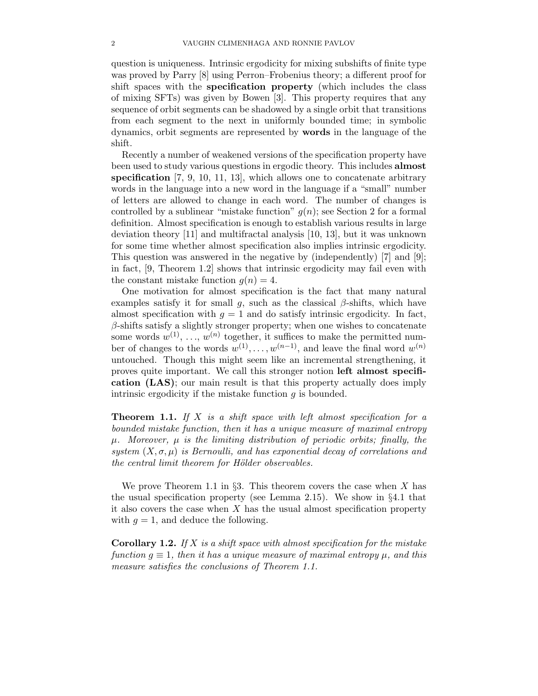question is uniqueness. Intrinsic ergodicity for mixing subshifts of finite type was proved by Parry [8] using Perron–Frobenius theory; a different proof for shift spaces with the specification property (which includes the class of mixing SFTs) was given by Bowen [3]. This property requires that any sequence of orbit segments can be shadowed by a single orbit that transitions from each segment to the next in uniformly bounded time; in symbolic dynamics, orbit segments are represented by words in the language of the shift.

Recently a number of weakened versions of the specification property have been used to study various questions in ergodic theory. This includes almost specification  $[7, 9, 10, 11, 13]$ , which allows one to concatenate arbitrary words in the language into a new word in the language if a "small" number of letters are allowed to change in each word. The number of changes is controlled by a sublinear "mistake function"  $g(n)$ ; see Section 2 for a formal definition. Almost specification is enough to establish various results in large deviation theory [11] and multifractal analysis [10, 13], but it was unknown for some time whether almost specification also implies intrinsic ergodicity. This question was answered in the negative by (independently) [7] and [9]; in fact, [9, Theorem 1.2] shows that intrinsic ergodicity may fail even with the constant mistake function  $q(n) = 4$ .

One motivation for almost specification is the fact that many natural examples satisfy it for small g, such as the classical  $\beta$ -shifts, which have almost specification with  $q = 1$  and do satisfy intrinsic ergodicity. In fact,  $\beta$ -shifts satisfy a slightly stronger property; when one wishes to concatenate some words  $w^{(1)}, \ldots, w^{(n)}$  together, it suffices to make the permitted number of changes to the words  $w^{(1)}, \ldots, w^{(n-1)}$ , and leave the final word  $w^{(n)}$ untouched. Though this might seem like an incremental strengthening, it proves quite important. We call this stronger notion left almost specification (LAS); our main result is that this property actually does imply intrinsic ergodicity if the mistake function  $q$  is bounded.

Theorem 1.1. *If* X *is a shift space with left almost specification for a bounded mistake function, then it has a unique measure of maximal entropy*  $\mu$ . Moreover,  $\mu$  *is the limiting distribution of periodic orbits; finally, the system*  $(X, \sigma, \mu)$  *is Bernoulli, and has exponential decay of correlations and the central limit theorem for Hölder observables.* 

We prove Theorem 1.1 in §3. This theorem covers the case when  $X$  has the usual specification property (see Lemma 2.15). We show in §4.1 that it also covers the case when  $X$  has the usual almost specification property with  $g = 1$ , and deduce the following.

Corollary 1.2. *If* X *is a shift space with almost specification for the mistake*  $function g \equiv 1$ , then it has a unique measure of maximal entropy  $\mu$ , and this *measure satisfies the conclusions of Theorem 1.1.*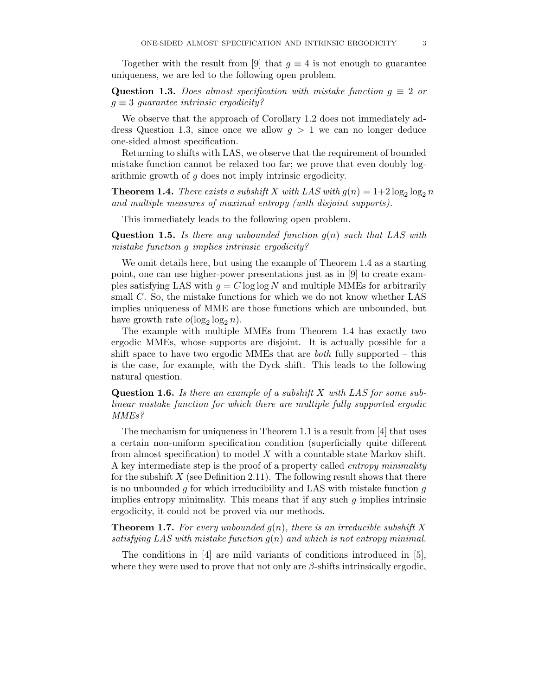Together with the result from [9] that  $g \equiv 4$  is not enough to guarantee uniqueness, we are led to the following open problem.

Question 1.3. *Does almost specification with mistake function*  $g \equiv 2$  *or* g ≡ 3 *guarantee intrinsic ergodicity?*

We observe that the approach of Corollary 1.2 does not immediately address Question 1.3, since once we allow  $g > 1$  we can no longer deduce one-sided almost specification.

Returning to shifts with LAS, we observe that the requirement of bounded mistake function cannot be relaxed too far; we prove that even doubly logarithmic growth of g does not imply intrinsic ergodicity.

**Theorem 1.4.** *There exists a subshift* X with LAS with  $g(n) = 1+2\log_2\log_2 n$ *and multiple measures of maximal entropy (with disjoint supports).*

This immediately leads to the following open problem.

Question 1.5. *Is there any unbounded function* g(n) *such that LAS with mistake function* g *implies intrinsic ergodicity?*

We omit details here, but using the example of Theorem 1.4 as a starting point, one can use higher-power presentations just as in [9] to create examples satisfying LAS with  $g = C \log \log N$  and multiple MMEs for arbitrarily small C. So, the mistake functions for which we do not know whether LAS implies uniqueness of MME are those functions which are unbounded, but have growth rate  $o(\log_2 \log_2 n)$ .

The example with multiple MMEs from Theorem 1.4 has exactly two ergodic MMEs, whose supports are disjoint. It is actually possible for a shift space to have two ergodic MMEs that are *both* fully supported – this is the case, for example, with the Dyck shift. This leads to the following natural question.

Question 1.6. *Is there an example of a subshift* X *with LAS for some sublinear mistake function for which there are multiple fully supported ergodic MMEs?*

The mechanism for uniqueness in Theorem 1.1 is a result from  $\vert 4 \vert$  that uses a certain non-uniform specification condition (superficially quite different from almost specification) to model  $X$  with a countable state Markov shift. A key intermediate step is the proof of a property called *entropy minimality* for the subshift  $X$  (see Definition 2.11). The following result shows that there is no unbounded  $g$  for which irreducibility and LAS with mistake function  $g$ implies entropy minimality. This means that if any such  $g$  implies intrinsic ergodicity, it could not be proved via our methods.

**Theorem 1.7.** For every unbounded  $g(n)$ , there is an irreducible subshift X *satisfying LAS with mistake function* g(n) *and which is not entropy minimal.*

The conditions in [4] are mild variants of conditions introduced in [5], where they were used to prove that not only are  $\beta$ -shifts intrinsically ergodic,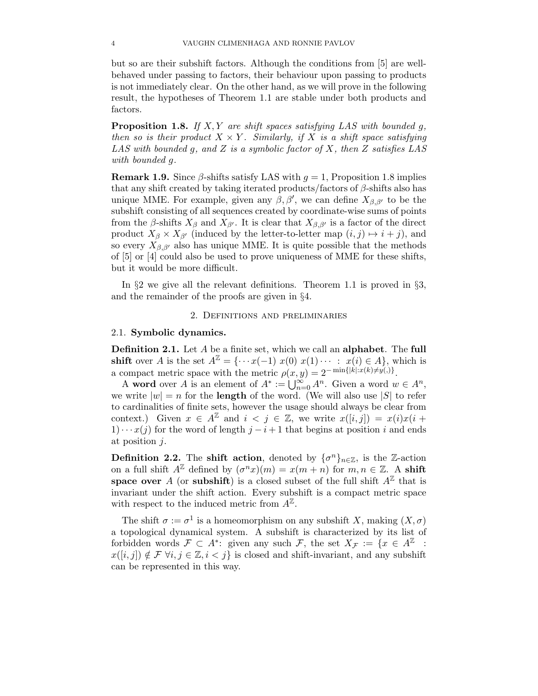but so are their subshift factors. Although the conditions from [5] are wellbehaved under passing to factors, their behaviour upon passing to products is not immediately clear. On the other hand, as we will prove in the following result, the hypotheses of Theorem 1.1 are stable under both products and factors.

Proposition 1.8. *If* X, Y *are shift spaces satisfying LAS with bounded* g*, then so is their product*  $X \times Y$ *. Similarly, if* X *is a shift space satisfying LAS with bounded* g*, and* Z *is a symbolic factor of* X*, then* Z *satisfies LAS with bounded* g*.*

**Remark 1.9.** Since  $\beta$ -shifts satisfy LAS with  $q = 1$ , Proposition 1.8 implies that any shift created by taking iterated products/factors of  $\beta$ -shifts also has unique MME. For example, given any  $\beta$ ,  $\beta'$ , we can define  $X_{\beta,\beta'}$  to be the subshift consisting of all sequences created by coordinate-wise sums of points from the  $\beta$ -shifts  $X_{\beta}$  and  $X_{\beta'}$ . It is clear that  $X_{\beta,\beta'}$  is a factor of the direct product  $X_{\beta} \times X_{\beta'}$  (induced by the letter-to-letter map  $(i, j) \mapsto i + j$ ), and so every  $X_{\beta,\beta'}$  also has unique MME. It is quite possible that the methods of [5] or [4] could also be used to prove uniqueness of MME for these shifts, but it would be more difficult.

In §2 we give all the relevant definitions. Theorem 1.1 is proved in §3, and the remainder of the proofs are given in §4.

#### 2. Definitions and preliminaries

## 2.1. Symbolic dynamics.

Definition 2.1. Let A be a finite set, which we call an alphabet. The full **shift** over A is the set  $A^{\mathbb{Z}} = \{ \cdots x(-1) \ x(0) \ x(1) \ \cdots \ : \ x(i) \in A \}$ , which is a compact metric space with the metric  $\rho(x, y) = 2^{-\min\{|k| : x(k) \neq y(.)\}}$ .

A word over A is an element of  $A^* := \bigcup_{n=0}^{\infty} A^n$ . Given a word  $w \in A^n$ , we write  $|w| = n$  for the **length** of the word. (We will also use |S| to refer to cardinalities of finite sets, however the usage should always be clear from context.) Given  $x \in A^{\mathbb{Z}}$  and  $i < j \in \mathbb{Z}$ , we write  $x([i,j]) = x(i)x(i +$ 1) · ·  $x(j)$  for the word of length  $j - i + 1$  that begins at position i and ends at position j.

**Definition 2.2.** The **shift action**, denoted by  $\{\sigma^n\}_{n\in\mathbb{Z}}$ , is the Z-action on a full shift  $A^{\mathbb{Z}}$  defined by  $(\sigma^n x)(m) = x(m+n)$  for  $m, n \in \mathbb{Z}$ . A shift space over A (or subshift) is a closed subset of the full shift  $A^{\mathbb{Z}}$  that is invariant under the shift action. Every subshift is a compact metric space with respect to the induced metric from  $A^{\mathbb{Z}}$ .

The shift  $\sigma := \sigma^1$  is a homeomorphism on any subshift X, making  $(X, \sigma)$ a topological dynamical system. A subshift is characterized by its list of forbidden words  $\mathcal{F} \subset A^*$ : given any such  $\mathcal{F}$ , the set  $X_{\mathcal{F}} := \{x \in A^{\mathbb{Z}}\}$ :  $x([i, j]) \notin \mathcal{F}$   $\forall i, j \in \mathbb{Z}, i < j$  is closed and shift-invariant, and any subshift can be represented in this way.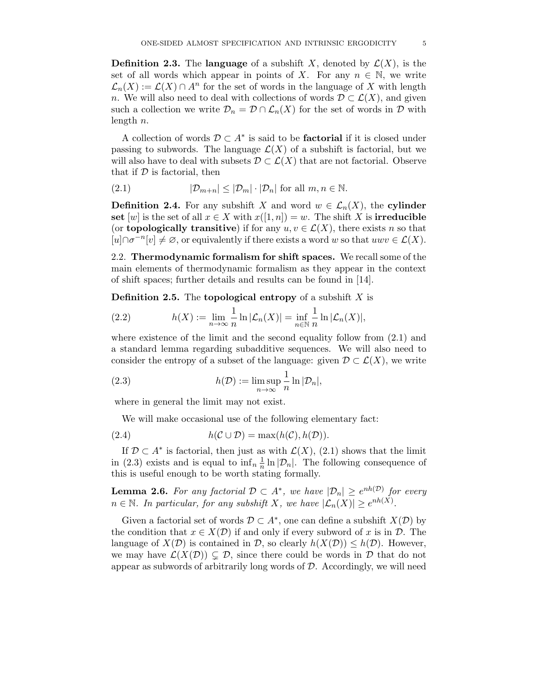**Definition 2.3.** The language of a subshift X, denoted by  $\mathcal{L}(X)$ , is the set of all words which appear in points of X. For any  $n \in \mathbb{N}$ , we write  $\mathcal{L}_n(X) := \mathcal{L}(X) \cap A^n$  for the set of words in the language of X with length n. We will also need to deal with collections of words  $\mathcal{D} \subset \mathcal{L}(X)$ , and given such a collection we write  $\mathcal{D}_n = \mathcal{D} \cap \mathcal{L}_n(X)$  for the set of words in  $\mathcal D$  with length n.

A collection of words  $\mathcal{D} \subset A^*$  is said to be **factorial** if it is closed under passing to subwords. The language  $\mathcal{L}(X)$  of a subshift is factorial, but we will also have to deal with subsets  $\mathcal{D} \subset \mathcal{L}(X)$  that are not factorial. Observe that if  $D$  is factorial, then

(2.1) 
$$
|\mathcal{D}_{m+n}| \leq |\mathcal{D}_m| \cdot |\mathcal{D}_n| \text{ for all } m, n \in \mathbb{N}.
$$

**Definition 2.4.** For any subshift X and word  $w \in \mathcal{L}_n(X)$ , the cylinder set [w] is the set of all  $x \in X$  with  $x([1, n]) = w$ . The shift X is **irreducible** (or **topologically transitive**) if for any  $u, v \in \mathcal{L}(X)$ , there exists n so that  $[u] \cap \sigma^{-n}[v] \neq \emptyset$ , or equivalently if there exists a word w so that  $uwv \in \mathcal{L}(X)$ .

2.2. Thermodynamic formalism for shift spaces. We recall some of the main elements of thermodynamic formalism as they appear in the context of shift spaces; further details and results can be found in [14].

**Definition 2.5.** The **topological entropy** of a subshift  $X$  is

(2.2) 
$$
h(X) := \lim_{n \to \infty} \frac{1}{n} \ln |\mathcal{L}_n(X)| = \inf_{n \in \mathbb{N}} \frac{1}{n} \ln |\mathcal{L}_n(X)|,
$$

where existence of the limit and the second equality follow from  $(2.1)$  and a standard lemma regarding subadditive sequences. We will also need to consider the entropy of a subset of the language: given  $\mathcal{D} \subset \mathcal{L}(X)$ , we write

(2.3) 
$$
h(\mathcal{D}) := \limsup_{n \to \infty} \frac{1}{n} \ln |\mathcal{D}_n|,
$$

where in general the limit may not exist.

We will make occasional use of the following elementary fact:

(2.4) 
$$
h(C \cup \mathcal{D}) = \max(h(C), h(\mathcal{D})).
$$

If  $\mathcal{D} \subset A^*$  is factorial, then just as with  $\mathcal{L}(X)$ , (2.1) shows that the limit in (2.3) exists and is equal to  $\inf_n \frac{1}{n}$  $\frac{1}{n} \ln |\mathcal{D}_n|$ . The following consequence of this is useful enough to be worth stating formally.

**Lemma 2.6.** For any factorial  $\mathcal{D} \subset A^*$ , we have  $|\mathcal{D}_n| \geq e^{nh(\mathcal{D})}$  for every  $n \in \mathbb{N}$ . In particular, for any subshift X, we have  $|\mathcal{L}_n(X)| \geq e^{nh(X)}$ .

Given a factorial set of words  $\mathcal{D} \subset A^*$ , one can define a subshift  $X(\mathcal{D})$  by the condition that  $x \in X(\mathcal{D})$  if and only if every subword of x is in  $\mathcal{D}$ . The language of  $X(\mathcal{D})$  is contained in  $\mathcal{D}$ , so clearly  $h(X(\mathcal{D})) \leq h(\mathcal{D})$ . However, we may have  $\mathcal{L}(X(\mathcal{D})) \subsetneq \mathcal{D}$ , since there could be words in  $\mathcal D$  that do not appear as subwords of arbitrarily long words of  $D$ . Accordingly, we will need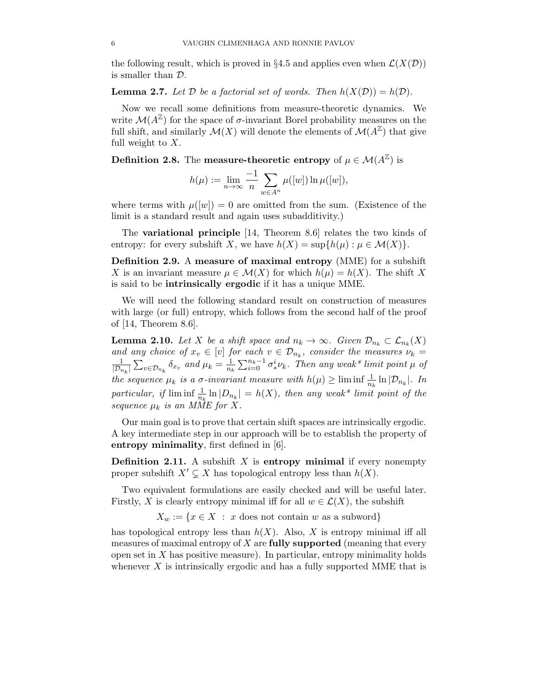the following result, which is proved in §4.5 and applies even when  $\mathcal{L}(X(\mathcal{D}))$ is smaller than D.

**Lemma 2.7.** Let  $D$  be a factorial set of words. Then  $h(X(D)) = h(D)$ .

Now we recall some definitions from measure-theoretic dynamics. We write  $\mathcal{M}(A^{\mathbb{Z}})$  for the space of  $\sigma$ -invariant Borel probability measures on the full shift, and similarly  $\mathcal{M}(X)$  will denote the elements of  $\mathcal{M}(A^{\mathbb{Z}})$  that give full weight to  $X$ .

**Definition 2.8.** The measure-theoretic entropy of  $\mu \in \mathcal{M}(A^{\mathbb{Z}})$  is

$$
h(\mu) := \lim_{n \to \infty} \frac{-1}{n} \sum_{w \in A^n} \mu([w]) \ln \mu([w]),
$$

where terms with  $\mu([w]) = 0$  are omitted from the sum. (Existence of the limit is a standard result and again uses subadditivity.)

The variational principle [14, Theorem 8.6] relates the two kinds of entropy: for every subshift X, we have  $h(X) = \sup\{h(\mu) : \mu \in \mathcal{M}(X)\}.$ 

Definition 2.9. A measure of maximal entropy (MME) for a subshift X is an invariant measure  $\mu \in \mathcal{M}(X)$  for which  $h(\mu) = h(X)$ . The shift X is said to be intrinsically ergodic if it has a unique MME.

We will need the following standard result on construction of measures with large (or full) entropy, which follows from the second half of the proof of [14, Theorem 8.6].

**Lemma 2.10.** *Let* X *be a shift space and*  $n_k \to \infty$ *. Given*  $\mathcal{D}_{n_k} \subset \mathcal{L}_{n_k}(X)$ *and any choice of*  $x_v \in [v]$  *for each*  $v \in \mathcal{D}_{n_k}$ *, consider the measures*  $\nu_k =$ 1  $\frac{1}{|\mathcal{D}_{n_k}|} \sum_{v \in \mathcal{D}_{n_k}} \delta_{x_v}$  and  $\mu_k = \frac{1}{n_k}$  $\frac{1}{n_k}\sum_{i=0}^{n_k-1}\sigma_*^i$ ∗ νk*. Then any weak\* limit point* µ *of the sequence*  $\mu_k$  *is a*  $\sigma$ *-invariant measure with*  $h(\mu) \geq \liminf \frac{1}{n_k} \ln |\mathcal{D}_{n_k}|$ . In particular, if  $\liminf_{n_k} \frac{1}{n_k} \ln |D_{n_k}| = h(X)$ , then any weak\* limit point of the *sequence*  $\mu_k$  *is an MME for X.* 

Our main goal is to prove that certain shift spaces are intrinsically ergodic. A key intermediate step in our approach will be to establish the property of entropy minimality, first defined in [6].

**Definition 2.11.** A subshift  $X$  is entropy minimal if every nonempty proper subshift  $X' \subsetneq X$  has topological entropy less than  $h(X)$ .

Two equivalent formulations are easily checked and will be useful later. Firstly, X is clearly entropy minimal iff for all  $w \in \mathcal{L}(X)$ , the subshift

 $X_w := \{x \in X : x \text{ does not contain } w \text{ as a subword}\}\$ 

has topological entropy less than  $h(X)$ . Also, X is entropy minimal iff all measures of maximal entropy of  $X$  are **fully supported** (meaning that every open set in  $X$  has positive measure). In particular, entropy minimality holds whenever  $X$  is intrinsically ergodic and has a fully supported MME that is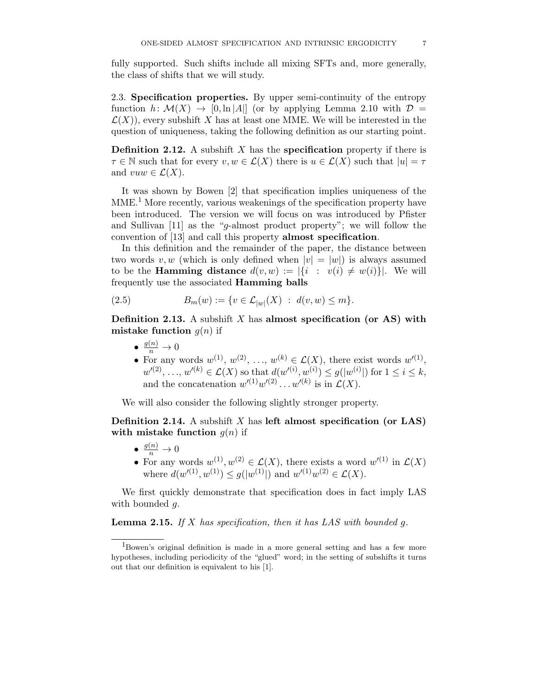fully supported. Such shifts include all mixing SFTs and, more generally, the class of shifts that we will study.

2.3. Specification properties. By upper semi-continuity of the entropy function  $h: \mathcal{M}(X) \to [0, \ln |A|]$  (or by applying Lemma 2.10 with  $\mathcal{D} =$  $\mathcal{L}(X)$ , every subshift X has at least one MME. We will be interested in the question of uniqueness, taking the following definition as our starting point.

**Definition 2.12.** A subshift  $X$  has the **specification** property if there is  $\tau \in \mathbb{N}$  such that for every  $v, w \in \mathcal{L}(X)$  there is  $u \in \mathcal{L}(X)$  such that  $|u| = \tau$ and  $vuw \in \mathcal{L}(X)$ .

It was shown by Bowen [2] that specification implies uniqueness of the  $MME<sup>1</sup>$  More recently, various weakenings of the specification property have been introduced. The version we will focus on was introduced by Pfister and Sullivan [11] as the "g-almost product property"; we will follow the convention of [13] and call this property almost specification.

In this definition and the remainder of the paper, the distance between two words v, w (which is only defined when  $|v| = |w|$ ) is always assumed to be the **Hamming distance**  $d(v, w) := |\{i : v(i) \neq w(i)\}|$ . We will frequently use the associated Hamming balls

(2.5) 
$$
B_m(w) := \{ v \in \mathcal{L}_{|w|}(X) : d(v, w) \le m \}.
$$

**Definition 2.13.** A subshift X has almost specification (or AS) with mistake function  $q(n)$  if

- $\bullet \ \frac{g(n)}{n} \to 0$
- For any words  $w^{(1)}, w^{(2)}, \ldots, w^{(k)} \in \mathcal{L}(X)$ , there exist words  $w'^{(1)}$ ,  $w'(2), \ldots, w'(k) \in \mathcal{L}(X)$  so that  $d(w'(i), w^{(i)}) \leq g(|w^{(i)}|)$  for  $1 \leq i \leq k$ , and the concatenation  $w'(1)w'(2)...w'(k)$  is in  $\mathcal{L}(X)$ .

We will also consider the following slightly stronger property.

**Definition 2.14.** A subshift X has left almost specification (or LAS) with mistake function  $g(n)$  if

- $\bullet \ \frac{g(n)}{n} \to 0$
- For any words  $w^{(1)}, w^{(2)} \in \mathcal{L}(X)$ , there exists a word  $w'(1)$  in  $\mathcal{L}(X)$ where  $d(w'^{(1)}, w^{(1)}) \leq g(|w^{(1)}|)$  and  $w'^{(1)}w^{(2)} \in \mathcal{L}(X)$ .

We first quickly demonstrate that specification does in fact imply LAS with bounded q.

Lemma 2.15. *If* X *has specification, then it has LAS with bounded* g*.*

<sup>1</sup>Bowen's original definition is made in a more general setting and has a few more hypotheses, including periodicity of the "glued" word; in the setting of subshifts it turns out that our definition is equivalent to his [1].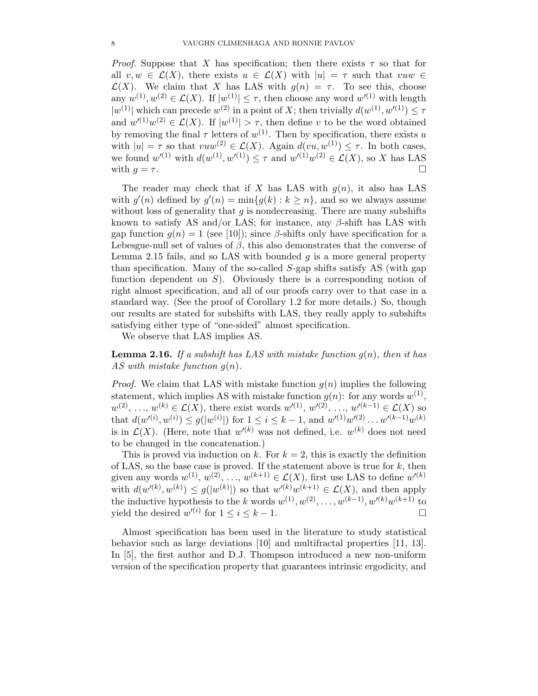*Proof.* Suppose that X has specification; then there exists  $\tau$  so that for all  $v, w \in \mathcal{L}(X)$ , there exists  $u \in \mathcal{L}(X)$  with  $|u| = \tau$  such that  $vuw \in$  $\mathcal{L}(X)$ . We claim that X has LAS with  $g(n) = \tau$ . To see this, choose any  $w^{(1)}, w^{(2)} \in \mathcal{L}(X)$ . If  $|w^{(1)}| \leq \tau$ , then choose any word  $w'^{(1)}$  with length  $|w^{(1)}|$  which can precede  $w^{(2)}$  in a point of X; then trivially  $d(w^{(1)}, w'^{(1)}) \leq \tau$ and  $w'(1)w^{(2)} \in \mathcal{L}(X)$ . If  $|w^{(1)}| > \tau$ , then define v to be the word obtained by removing the final  $\tau$  letters of  $w^{(1)}$ . Then by specification, there exists u with  $|u| = \tau$  so that  $vuw^{(2)} \in \mathcal{L}(X)$ . Again  $d(vu, w^{(1)}) \leq \tau$ . In both cases, we found  $w'(1)$  with  $d(w^{(1)}, w'(1)) \leq \tau$  and  $w'(1)w^{(2)} \in \mathcal{L}(X)$ , so X has LAS with  $g = \tau$ .

The reader may check that if X has LAS with  $g(n)$ , it also has LAS with  $g'(n)$  defined by  $g'(n) = \min\{g(k) : k \geq n\}$ , and so we always assume without loss of generality that  $g$  is nondecreasing. There are many subshifts known to satisfy AS and/or LAS; for instance, any  $\beta$ -shift has LAS with gap function  $g(n) = 1$  (see [10]); since  $\beta$ -shifts only have specification for a Lebesgue-null set of values of  $\beta$ , this also demonstrates that the converse of Lemma 2.15 fails, and so LAS with bounded  $g$  is a more general property than specification. Many of the so-called S-gap shifts satisfy AS (with gap function dependent on  $S$ ). Obviously there is a corresponding notion of right almost specification, and all of our proofs carry over to that case in a standard way. (See the proof of Corollary 1.2 for more details.) So, though our results are stated for subshifts with LAS, they really apply to subshifts satisfying either type of "one-sided" almost specification.

We observe that LAS implies AS.

Lemma 2.16. *If a subshift has LAS with mistake function* g(n)*, then it has AS with mistake function* g(n)*.*

*Proof.* We claim that LAS with mistake function  $g(n)$  implies the following statement, which implies AS with mistake function  $g(n)$ : for any words  $w^{(1)}$ ,  $w^{(2)}, \ldots, w^{(k)} \in \mathcal{L}(X)$ , there exist words  $w'^{(1)}, w'^{(2)}, \ldots, w'^{(k-1)} \in \mathcal{L}(X)$  so that  $d(w'^{(i)}, w^{(i)}) \leq g(|w^{(i)}|)$  for  $1 \leq i \leq k-1$ , and  $w'^{(1)}w'^{(2)} \dots w'^{(k-1)}w^{(k)}$ is in  $\mathcal{L}(X)$ . (Here, note that  $w'^{(k)}$  was not defined, i.e.  $w^{(k)}$  does not need to be changed in the concatenation.)

This is proved via induction on k. For  $k = 2$ , this is exactly the definition of LAS, so the base case is proved. If the statement above is true for  $k$ , then given any words  $w^{(1)}, w^{(2)}, \ldots, w^{(k+1)} \in \mathcal{L}(X)$ , first use LAS to define  $w'^{(k)}$ with  $d(w'^{(k)}, w^{(k)}) \leq g(|w^{(k)}|)$  so that  $w'^{(k)}w^{(k+1)} \in \mathcal{L}(X)$ , and then apply the inductive hypothesis to the k words  $w^{(1)}, w^{(2)}, \ldots, w^{(k-1)}, w'^{(k)}w^{(k+1)}$  to yield the desired  $w'^{(i)}$  for  $1 \leq i \leq k-1$ .

Almost specification has been used in the literature to study statistical behavior such as large deviations [10] and multifractal properties [11, 13]. In [5], the first author and D.J. Thompson introduced a new non-uniform version of the specification property that guarantees intrinsic ergodicity, and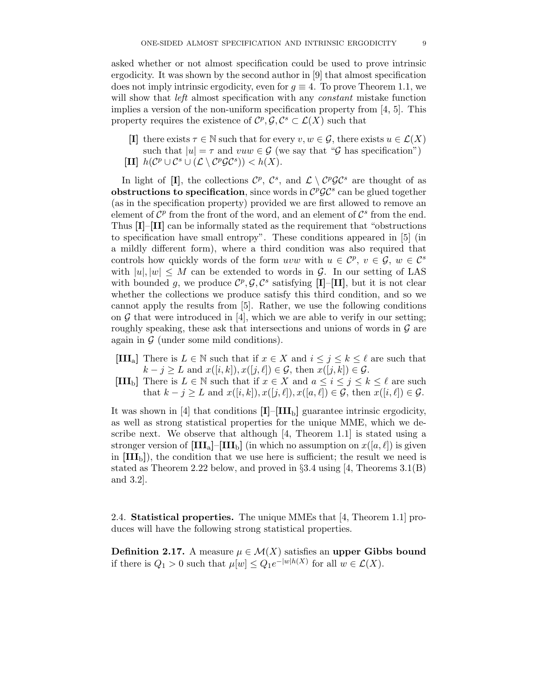asked whether or not almost specification could be used to prove intrinsic ergodicity. It was shown by the second author in [9] that almost specification does not imply intrinsic ergodicity, even for  $g \equiv 4$ . To prove Theorem 1.1, we will show that *left* almost specification with any *constant* mistake function implies a version of the non-uniform specification property from  $[4, 5]$ . This property requires the existence of  $\mathcal{C}^p, \mathcal{G}, \mathcal{C}^s \subset \mathcal{L}(X)$  such that

- [I] there exists  $\tau \in \mathbb{N}$  such that for every  $v, w \in \mathcal{G}$ , there exists  $u \in \mathcal{L}(X)$ such that  $|u| = \tau$  and  $vuw \in \mathcal{G}$  (we say that " $\mathcal{G}$  has specification")
- [II]  $h(\mathcal{C}^p \cup \mathcal{C}^s \cup (\mathcal{L} \setminus \mathcal{C}^p \mathcal{G} \mathcal{C}^s)) < h(X).$

In light of [I], the collections  $\mathcal{C}^p$ ,  $\mathcal{C}^s$ , and  $\mathcal{L} \setminus \mathcal{C}^p\mathcal{G}\mathcal{C}^s$  are thought of as obstructions to specification, since words in  $C^p\mathcal{GC}^s$  can be glued together (as in the specification property) provided we are first allowed to remove an element of  $\mathcal{C}^p$  from the front of the word, and an element of  $\mathcal{C}^s$  from the end. Thus [I]–[II] can be informally stated as the requirement that "obstructions to specification have small entropy". These conditions appeared in [5] (in a mildly different form), where a third condition was also required that controls how quickly words of the form uvw with  $u \in \mathcal{C}^p$ ,  $v \in \mathcal{G}$ ,  $w \in \mathcal{C}^s$ with  $|u|, |w| \leq M$  can be extended to words in G. In our setting of LAS with bounded g, we produce  $\mathcal{C}^p$ ,  $\mathcal{G}, \mathcal{C}^s$  satisfying [I]-[II], but it is not clear whether the collections we produce satisfy this third condition, and so we cannot apply the results from [5]. Rather, we use the following conditions on  $\mathcal G$  that were introduced in [4], which we are able to verify in our setting; roughly speaking, these ask that intersections and unions of words in  $\mathcal G$  are again in  $\mathcal G$  (under some mild conditions).

- [III<sub>a</sub>] There is  $L \in \mathbb{N}$  such that if  $x \in X$  and  $i \leq j \leq k \leq \ell$  are such that  $k - j \geq L$  and  $x([i, k]), x([j, \ell]) \in \mathcal{G}$ , then  $x([j, k]) \in \mathcal{G}$ .
- [III<sub>b</sub>] There is  $L \in \mathbb{N}$  such that if  $x \in X$  and  $a \leq i \leq j \leq k \leq \ell$  are such that  $k - j \geq L$  and  $x([i, k]), x([j, \ell]), x([a, \ell]) \in \mathcal{G}$ , then  $x([i, \ell]) \in \mathcal{G}$ .

It was shown in [4] that conditions  $[I]$ – $[III_b]$  guarantee intrinsic ergodicity, as well as strong statistical properties for the unique MME, which we describe next. We observe that although [4, Theorem 1.1] is stated using a stronger version of  $\text{[III}_a\text{]}-\text{[III}_b\text{]}$  (in which no assumption on  $x([a, \ell])$  is given in  $[\mathbf{III}_b]$ , the condition that we use here is sufficient; the result we need is stated as Theorem 2.22 below, and proved in  $\S 3.4$  using [4, Theorems 3.1(B) and 3.2].

2.4. Statistical properties. The unique MMEs that [4, Theorem 1.1] produces will have the following strong statistical properties.

**Definition 2.17.** A measure  $\mu \in \mathcal{M}(X)$  satisfies an upper Gibbs bound if there is  $Q_1 > 0$  such that  $\mu[w] \leq Q_1 e^{-|w|h(X)}$  for all  $w \in \mathcal{L}(X)$ .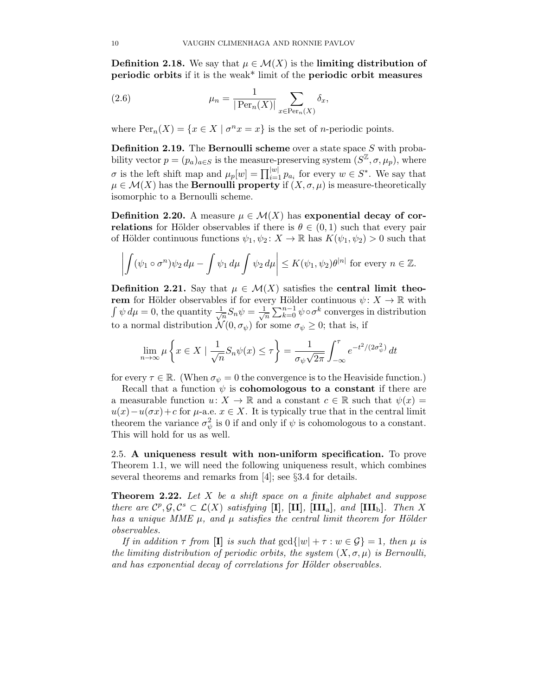**Definition 2.18.** We say that  $\mu \in \mathcal{M}(X)$  is the limiting distribution of periodic orbits if it is the weak\* limit of the periodic orbit measures

(2.6) 
$$
\mu_n = \frac{1}{|\operatorname{Per}_n(X)|} \sum_{x \in \operatorname{Per}_n(X)} \delta_x,
$$

where  $\text{Per}_n(X) = \{x \in X \mid \sigma^n x = x\}$  is the set of *n*-periodic points.

**Definition 2.19.** The **Bernoulli scheme** over a state space  $S$  with probability vector  $p = (p_a)_{a \in S}$  is the measure-preserving system  $(S^{\mathbb{Z}}, \sigma, \mu_p)$ , where  $\sigma$  is the left shift map and  $\mu_p[w] = \prod_{i=1}^{|w|} p_{a_i}$  for every  $w \in S^*$ . We say that  $\mu \in \mathcal{M}(X)$  has the **Bernoulli property** if  $(X, \sigma, \mu)$  is measure-theoretically isomorphic to a Bernoulli scheme.

**Definition 2.20.** A measure  $\mu \in \mathcal{M}(X)$  has exponential decay of correlations for Hölder observables if there is  $\theta \in (0,1)$  such that every pair of Hölder continuous functions  $\psi_1, \psi_2 \colon X \to \mathbb{R}$  has  $K(\psi_1, \psi_2) > 0$  such that

$$
\left| \int (\psi_1 \circ \sigma^n) \psi_2 \, d\mu - \int \psi_1 \, d\mu \int \psi_2 \, d\mu \right| \le K(\psi_1, \psi_2) \theta^{|n|} \text{ for every } n \in \mathbb{Z}.
$$

Definition 2.21. Say that  $\mu \in \mathcal{M}(X)$  satisfies the central limit theorem for Hölder observables if for every Hölder continuous  $\psi: X \to \mathbb{R}$  with  $\int \psi \, d\mu = 0$ , the quantity  $\frac{1}{\sqrt{2}}$  $\frac{1}{n}S_n\psi=\frac{1}{\sqrt{n}}$  $\frac{1}{n} \sum_{k=0}^{n-1} \psi \circ \sigma^k$  converges in distribution to a normal distribution  $\mathcal{N}(0, \sigma_{\psi})$  for some  $\sigma_{\psi} \geq 0$ ; that is, if

$$
\lim_{n \to \infty} \mu \left\{ x \in X \mid \frac{1}{\sqrt{n}} S_n \psi(x) \le \tau \right\} = \frac{1}{\sigma_{\psi} \sqrt{2\pi}} \int_{-\infty}^{\tau} e^{-t^2/(2\sigma_{\psi}^2)} dt
$$

for every  $\tau \in \mathbb{R}$ . (When  $\sigma_{\psi} = 0$  the convergence is to the Heaviside function.)

Recall that a function  $\psi$  is **cohomologous to a constant** if there are a measurable function  $u: X \to \mathbb{R}$  and a constant  $c \in \mathbb{R}$  such that  $\psi(x) =$  $u(x)-u(\sigma x)+c$  for  $\mu$ -a.e.  $x \in X$ . It is typically true that in the central limit theorem the variance  $\sigma_{\psi}^2$  is 0 if and only if  $\psi$  is cohomologous to a constant. This will hold for us as well.

2.5. A uniqueness result with non-uniform specification. To prove Theorem 1.1, we will need the following uniqueness result, which combines several theorems and remarks from [4]; see §3.4 for details.

Theorem 2.22. *Let* X *be a shift space on a finite alphabet and suppose there are*  $C^p, \mathcal{G}, C^s \subset \mathcal{L}(X)$  *satisfying* [I], [II], [III<sub>a</sub>], and [III<sub>b</sub>]. Then X *has a unique MME*  $\mu$ *, and*  $\mu$  *satisfies the central limit theorem for Hölder observables.*

*If in addition*  $\tau$  *from* [**I**] *is such that*  $gcd\{|w| + \tau : w \in \mathcal{G}\} = 1$ *, then*  $\mu$  *is the limiting distribution of periodic orbits, the system*  $(X, \sigma, \mu)$  *is Bernoulli,* and has exponential decay of correlations for Hölder observables.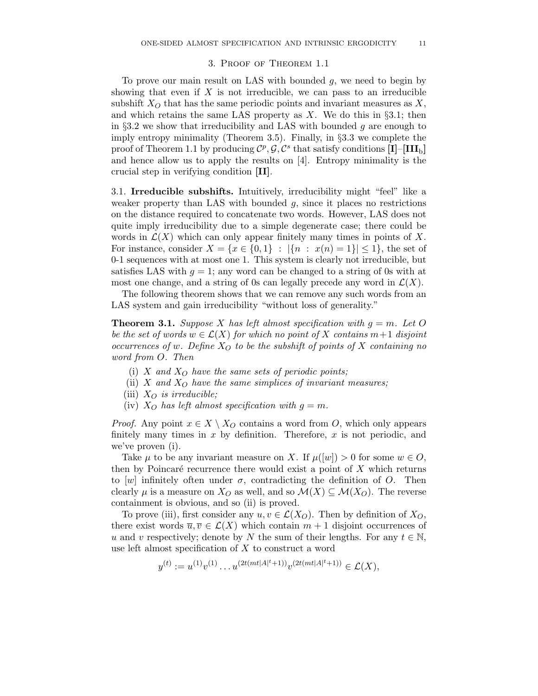## 3. Proof of Theorem 1.1

To prove our main result on LAS with bounded g, we need to begin by showing that even if  $X$  is not irreducible, we can pass to an irreducible subshift  $X_O$  that has the same periodic points and invariant measures as X, and which retains the same LAS property as  $X$ . We do this in §3.1; then in §3.2 we show that irreducibility and LAS with bounded  $q$  are enough to imply entropy minimality (Theorem 3.5). Finally, in  $\S 3.3$  we complete the proof of Theorem 1.1 by producing  $\mathcal{C}^p$ ,  $\mathcal{G}, \mathcal{C}^s$  that satisfy conditions  $[\mathbf{I}] - [\mathbf{III}_b]$ and hence allow us to apply the results on [4]. Entropy minimality is the crucial step in verifying condition [II].

3.1. Irreducible subshifts. Intuitively, irreducibility might "feel" like a weaker property than LAS with bounded  $g$ , since it places no restrictions on the distance required to concatenate two words. However, LAS does not quite imply irreducibility due to a simple degenerate case; there could be words in  $\mathcal{L}(X)$  which can only appear finitely many times in points of X. For instance, consider  $X = \{x \in \{0,1\} : |\{n : x(n) = 1\}| \le 1\}$ , the set of 0-1 sequences with at most one 1. This system is clearly not irreducible, but satisfies LAS with  $g = 1$ ; any word can be changed to a string of 0s with at most one change, and a string of 0s can legally precede any word in  $\mathcal{L}(X)$ .

The following theorem shows that we can remove any such words from an LAS system and gain irreducibility "without loss of generality."

**Theorem 3.1.** *Suppose* X has left almost specification with  $g = m$ . Let O *be the set of words*  $w \in \mathcal{L}(X)$  *for which no point of* X *contains*  $m+1$  *disjoint occurrences of w. Define*  $X_O$  *to be the subshift of points of* X *containing no word from* O*. Then*

- (i)  $X$  *and*  $X_O$  *have the same sets of periodic points;*
- (ii) X and  $X_O$  have the same simplices of invariant measures;
- (iii)  $X_O$  *is irreducible;*
- (iv)  $X_O$  has left almost specification with  $g = m$ .

*Proof.* Any point  $x \in X \setminus X_O$  contains a word from O, which only appears finitely many times in  $x$  by definition. Therefore,  $x$  is not periodic, and we've proven (i).

Take  $\mu$  to be any invariant measure on X. If  $\mu([w]) > 0$  for some  $w \in O$ , then by Poincaré recurrence there would exist a point of  $X$  which returns to [w] infinitely often under  $\sigma$ , contradicting the definition of O. Then clearly  $\mu$  is a measure on  $X_O$  as well, and so  $\mathcal{M}(X) \subseteq \mathcal{M}(X_O)$ . The reverse containment is obvious, and so (ii) is proved.

To prove (iii), first consider any  $u, v \in \mathcal{L}(X_O)$ . Then by definition of  $X_O$ , there exist words  $\overline{u}, \overline{v} \in \mathcal{L}(X)$  which contain  $m + 1$  disjoint occurrences of u and v respectively; denote by N the sum of their lengths. For any  $t \in \mathbb{N}$ , use left almost specification of  $X$  to construct a word

$$
y^{(t)} := u^{(1)}v^{(1)}\dots u^{(2t(mt|A|t+1))}v^{(2t(mt|A|t+1))} \in \mathcal{L}(X),
$$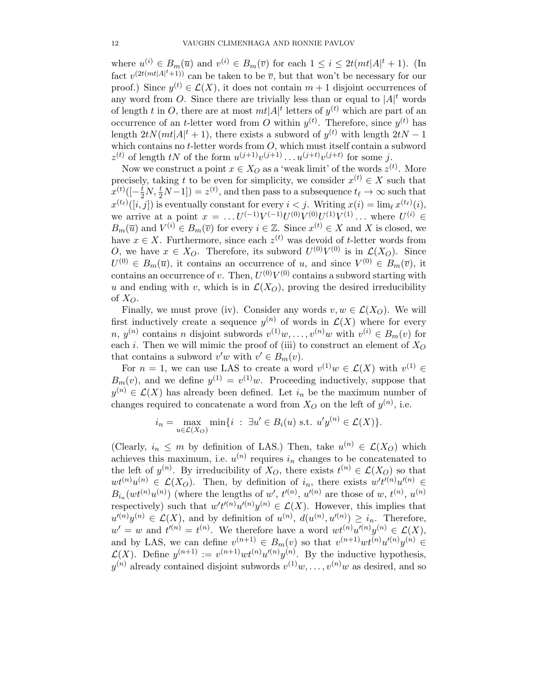where  $u^{(i)} \in B_m(\overline{u})$  and  $v^{(i)} \in B_m(\overline{v})$  for each  $1 \leq i \leq 2t(mt|A|^t + 1)$ . (In fact  $v^{(2t(mt|A|<sup>t</sup>+1))}$  can be taken to be  $\overline{v}$ , but that won't be necessary for our proof.) Since  $y^{(t)} \in \mathcal{L}(X)$ , it does not contain  $m+1$  disjoint occurrences of any word from O. Since there are trivially less than or equal to  $|A|^t$  words of length t in O, there are at most  $mt|A|^t$  letters of  $y^{(t)}$  which are part of an occurrence of an *t*-letter word from O within  $y^{(t)}$ . Therefore, since  $y^{(t)}$  has length  $2tN(mt|A|<sup>t</sup> + 1)$ , there exists a subword of  $y<sup>(t)</sup>$  with length  $2tN - 1$ which contains no  $t$ -letter words from  $O$ , which must itself contain a subword  $z^{(t)}$  of length tN of the form  $u^{(j+1)}v^{(j+1)}\dots u^{(j+t)}v^{(j+t)}$  for some j.

Now we construct a point  $x \in X_O$  as a 'weak limit' of the words  $z^{(t)}$ . More precisely, taking t to be even for simplicity, we consider  $x^{(t)} \in X$  such that  $x^{(t)}([-\frac{t}{2}N,\frac{t}{2}N-1]) = z^{(t)}$ , and then pass to a subsequence  $t_{\ell} \to \infty$  such that  $x^{(t_\ell)}([i,j])$  is eventually constant for every  $i < j$ . Writing  $x(i) = \lim_{\ell} x^{(t_\ell)}(i)$ , we arrive at a point  $x = \ldots U^{(-1)} V^{(-1)} U^{(0)} V^{(0)} U^{(1)} V^{(1)} \ldots$  where  $U^{(i)} \in$  $B_m(\overline{u})$  and  $V^{(i)} \in B_m(\overline{v})$  for every  $i \in \mathbb{Z}$ . Since  $x^{(t)} \in X$  and X is closed, we have  $x \in X$ . Furthermore, since each  $z^{(t)}$  was devoid of t-letter words from O, we have  $x \in X_O$ . Therefore, its subword  $U^{(0)}V^{(0)}$  is in  $\mathcal{L}(X_O)$ . Since  $U^{(0)} \in B_m(\overline{u})$ , it contains an occurrence of u, and since  $V^{(0)} \in B_m(\overline{v})$ , it contains an occurrence of v. Then,  $U^{(0)}V^{(0)}$  contains a subword starting with u and ending with v, which is in  $\mathcal{L}(X_O)$ , proving the desired irreducibility of  $X_O$ .

Finally, we must prove (iv). Consider any words  $v, w \in \mathcal{L}(X_O)$ . We will first inductively create a sequence  $y^{(n)}$  of words in  $\mathcal{L}(X)$  where for every n,  $y^{(n)}$  contains n disjoint subwords  $v^{(1)}w, \ldots, v^{(n)}w$  with  $v^{(i)} \in B_m(v)$  for each i. Then we will mimic the proof of (iii) to construct an element of  $X_O$ that contains a subword  $v'w$  with  $v' \in B_m(v)$ .

For  $n = 1$ , we can use LAS to create a word  $v^{(1)}w \in \mathcal{L}(X)$  with  $v^{(1)} \in$  $B_m(v)$ , and we define  $y^{(1)} = v^{(1)}w$ . Proceeding inductively, suppose that  $y^{(n)} \in \mathcal{L}(X)$  has already been defined. Let  $i_n$  be the maximum number of changes required to concatenate a word from  $X_O$  on the left of  $y^{(n)}$ , i.e.

$$
i_n = \max_{u \in \mathcal{L}(X_O)} \min\{i : \exists u' \in B_i(u) \text{ s.t. } u'y^{(n)} \in \mathcal{L}(X)\}.
$$

(Clearly,  $i_n \leq m$  by definition of LAS.) Then, take  $u^{(n)} \in \mathcal{L}(X_O)$  which achieves this maximum, i.e.  $u^{(n)}$  requires  $i_n$  changes to be concatenated to the left of  $y^{(n)}$ . By irreducibility of  $X_O$ , there exists  $t^{(n)} \in \mathcal{L}(X_O)$  so that  $wt^{(n)}u^{(n)} \in \mathcal{L}(X_O)$ . Then, by definition of  $i_n$ , there exists  $w't'^{(n)}u'^{(n)} \in$  $B_{i_n}(wt^{(n)}u^{(n)})$  (where the lengths of w',  $t^{(n)}$ ,  $u'^{(n)}$  are those of w,  $t^{(n)}$ ,  $u^{(n)}$ respectively) such that  $w' t'^{(n)} u'^{(n)} y^{(n)} \in \mathcal{L}(X)$ . However, this implies that  $u^{(n)}y^{(n)} \in \mathcal{L}(X)$ , and by definition of  $u^{(n)}$ ,  $d(u^{(n)}, u^{(n)}) \geq i_n$ . Therefore,  $w' = w$  and  $t^{(n)} = t^{(n)}$ . We therefore have a word  $wt^{(n)}u^{(n)}y^{(n)} \in \mathcal{L}(X)$ , and by LAS, we can define  $v^{(n+1)} \in B_m(v)$  so that  $v^{(n+1)}wt^{(n)}u'^{(n)}y^{(n)} \in$  $\mathcal{L}(X)$ . Define  $y^{(n+1)} := v^{(n+1)}wt^{(n)}u^{(n)}y^{(n)}$ . By the inductive hypothesis,  $y^{(n)}$  already contained disjoint subwords  $v^{(1)}w, \ldots, v^{(n)}w$  as desired, and so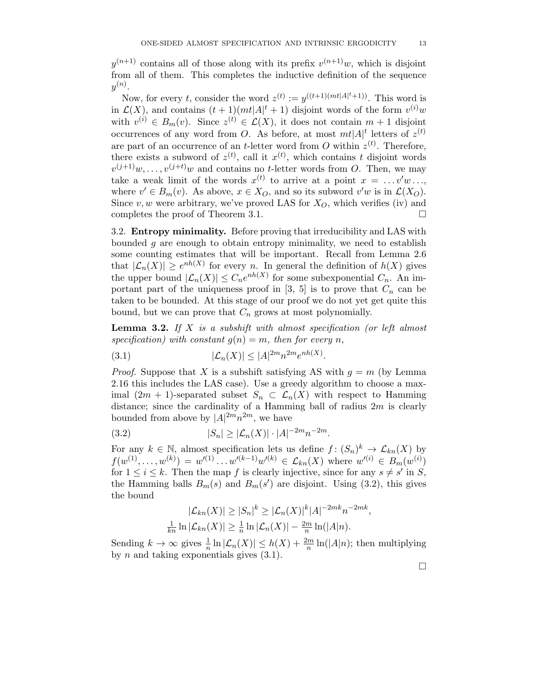$y^{(n+1)}$  contains all of those along with its prefix  $v^{(n+1)}w$ , which is disjoint from all of them. This completes the inductive definition of the sequence  $y^{(n)}.$ 

Now, for every t, consider the word  $z^{(t)} := y^{((t+1)(mt|A|^t+1))}$ . This word is in  $\mathcal{L}(X)$ , and contains  $(t+1)(mt|A|^t+1)$  disjoint words of the form  $v^{(i)}w$ with  $v^{(i)} \in B_m(v)$ . Since  $z^{(t)} \in \mathcal{L}(X)$ , it does not contain  $m+1$  disjoint occurrences of any word from O. As before, at most  $m t |A|$ <sup>t</sup> letters of  $z^{(t)}$ are part of an occurrence of an *t*-letter word from O within  $z^{(t)}$ . Therefore, there exists a subword of  $z^{(t)}$ , call it  $x^{(t)}$ , which contains t disjoint words  $v^{(j+1)}w, \ldots, v^{(j+t)}w$  and contains no t-letter words from O. Then, we may take a weak limit of the words  $x^{(t)}$  to arrive at a point  $x = \ldots v'w \ldots$ , where  $v' \in B_m(v)$ . As above,  $x \in X_O$ , and so its subword  $v'w$  is in  $\mathcal{L}(X_O)$ . Since  $v, w$  were arbitrary, we've proved LAS for  $X<sub>O</sub>$ , which verifies (iv) and completes the proof of Theorem 3.1.

3.2. Entropy minimality. Before proving that irreducibility and LAS with bounded  $q$  are enough to obtain entropy minimality, we need to establish some counting estimates that will be important. Recall from Lemma 2.6 that  $|\mathcal{L}_n(X)| \geq e^{nh(X)}$  for every n. In general the definition of  $h(X)$  gives the upper bound  $|\mathcal{L}_n(X)| \leq C_n e^{nh(X)}$  for some subexponential  $C_n$ . An important part of the uniqueness proof in [3, 5] is to prove that  $C_n$  can be taken to be bounded. At this stage of our proof we do not yet get quite this bound, but we can prove that  $C_n$  grows at most polynomially.

Lemma 3.2. *If* X *is a subshift with almost specification (or left almost*  $specification)$  with constant  $g(n) = m$ , then for every n,

$$
(3.1) \qquad |\mathcal{L}_n(X)| \le |A|^{2m} n^{2m} e^{nh(X)}.
$$

*Proof.* Suppose that X is a subshift satisfying AS with  $q = m$  (by Lemma 2.16 this includes the LAS case). Use a greedy algorithm to choose a maximal  $(2m + 1)$ -separated subset  $S_n \subset \mathcal{L}_n(X)$  with respect to Hamming distance; since the cardinality of a Hamming ball of radius  $2m$  is clearly bounded from above by  $|A|^{2m}n^{2m}$ , we have

(3.2) 
$$
|S_n| \ge |\mathcal{L}_n(X)| \cdot |A|^{-2m} n^{-2m}.
$$

For any  $k \in \mathbb{N}$ , almost specification lets us define  $f: (S_n)^k \to \mathcal{L}_{kn}(X)$  by  $f(w^{(1)},...,w^{(k)}) = w'^{(1)}...w'^{(k-1)}w'^{(k)} \in \mathcal{L}_{kn}(X)$  where  $w'^{(i)} \in B_m(w^{(i)})$ for  $1 \leq i \leq k$ . Then the map f is clearly injective, since for any  $s \neq s'$  in S, the Hamming balls  $B_m(s)$  and  $B_m(s')$  are disjoint. Using (3.2), this gives the bound

$$
|\mathcal{L}_{kn}(X)| \ge |S_n|^k \ge |\mathcal{L}_n(X)|^k |A|^{-2mk} n^{-2mk},
$$
  

$$
\frac{1}{kn} \ln |\mathcal{L}_{kn}(X)| \ge \frac{1}{n} \ln |\mathcal{L}_n(X)| - \frac{2m}{n} \ln(|A|n).
$$

Sending  $k \to \infty$  gives  $\frac{1}{n} \ln |\mathcal{L}_n(X)| \leq h(X) + \frac{2m}{n} \ln(|A|n)$ ; then multiplying by  $n$  and taking exponentials gives  $(3.1)$ .

 $\Box$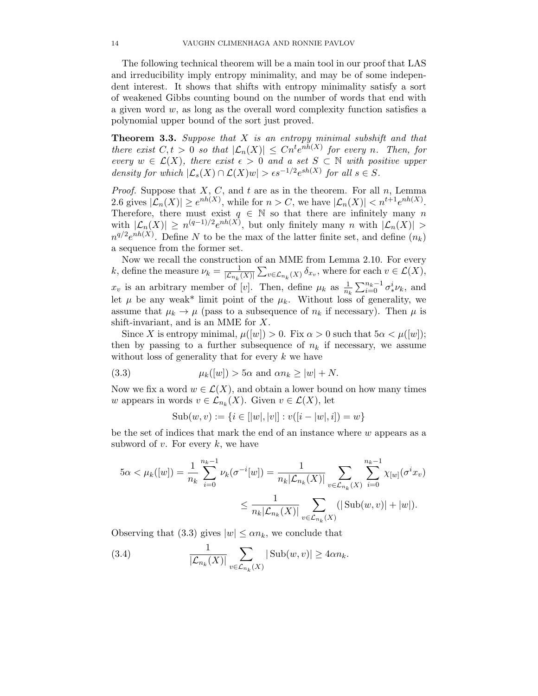The following technical theorem will be a main tool in our proof that LAS and irreducibility imply entropy minimality, and may be of some independent interest. It shows that shifts with entropy minimality satisfy a sort of weakened Gibbs counting bound on the number of words that end with a given word  $w$ , as long as the overall word complexity function satisfies a polynomial upper bound of the sort just proved.

Theorem 3.3. *Suppose that* X *is an entropy minimal subshift and that there exist*  $C, t > 0$  *so that*  $|\mathcal{L}_n(X)| \leq Cn^t e^{nh(X)}$  *for every n. Then, for every*  $w \in \mathcal{L}(X)$ *, there exist*  $\epsilon > 0$  *and a set*  $S \subset \mathbb{N}$  *with positive upper density for which*  $|\mathcal{L}_s(X) \cap \mathcal{L}(X)w| > \epsilon s^{-1/2} e^{sh(X)}$  *for all*  $s \in S$ *.* 

*Proof.* Suppose that  $X$ ,  $C$ , and  $t$  are as in the theorem. For all  $n$ , Lemma 2.6 gives  $|\mathcal{L}_n(X)| \geq e^{nh(X)}$ , while for  $n > C$ , we have  $|\mathcal{L}_n(X)| < n^{t+1}e^{nh(X)}$ . Therefore, there must exist  $q \in \mathbb{N}$  so that there are infinitely many n with  $|\mathcal{L}_n(X)| \ge n^{(q-1)/2} e^{nh(X)},$  but only finitely many n with  $|\mathcal{L}_n(X)| >$  $n^{q/2}e^{nh(X)}$ . Define N to be the max of the latter finite set, and define  $(n_k)$ a sequence from the former set.

Now we recall the construction of an MME from Lemma 2.10. For every k, define the measure  $\nu_k = \frac{1}{\vert \mathcal{L}_{n+1} \vert}$  $\frac{1}{|\mathcal{L}_{n_k}(X)|} \sum_{v \in \mathcal{L}_{n_k}(X)} \delta_{x_v}$ , where for each  $v \in \mathcal{L}(X)$ ,  $x_v$  is an arbitrary member of [v]. Then, define  $\mu_k$  as  $\frac{1}{n_k} \sum_{i=0}^{n_k-1} \sigma_*^i$  $_{*}^{i}\nu_{k}$ , and let  $\mu$  be any weak\* limit point of the  $\mu_k$ . Without loss of generality, we assume that  $\mu_k \to \mu$  (pass to a subsequence of  $n_k$  if necessary). Then  $\mu$  is shift-invariant, and is an MME for X.

Since X is entropy minimal,  $\mu([w]) > 0$ . Fix  $\alpha > 0$  such that  $5\alpha < \mu([w])$ ; then by passing to a further subsequence of  $n_k$  if necessary, we assume without loss of generality that for every  $k$  we have

(3.3) 
$$
\mu_k([w]) > 5\alpha \text{ and } \alpha n_k \ge |w| + N.
$$

Now we fix a word  $w \in \mathcal{L}(X)$ , and obtain a lower bound on how many times w appears in words  $v \in \mathcal{L}_{n_k}(X)$ . Given  $v \in \mathcal{L}(X)$ , let

Sub
$$
(w, v) := \{i \in [w|, |v|] : v([i - |w|, i]) = w\}
$$

be the set of indices that mark the end of an instance where  $w$  appears as a subword of  $v$ . For every  $k$ , we have

$$
5\alpha < \mu_k([w]) = \frac{1}{n_k} \sum_{i=0}^{n_k - 1} \nu_k(\sigma^{-i}[w]) = \frac{1}{n_k |\mathcal{L}_{n_k}(X)|} \sum_{v \in \mathcal{L}_{n_k}(X)} \sum_{i=0}^{n_k - 1} \chi_{[w]}(\sigma^i x_v)
$$

$$
\leq \frac{1}{n_k |\mathcal{L}_{n_k}(X)|} \sum_{v \in \mathcal{L}_{n_k}(X)} (|\text{Sub}(w, v)| + |w|).
$$

Observing that (3.3) gives  $|w| \le \alpha n_k$ , we conclude that

(3.4) 
$$
\frac{1}{|\mathcal{L}_{n_k}(X)|} \sum_{v \in \mathcal{L}_{n_k}(X)} |\operatorname{Sub}(w, v)| \ge 4\alpha n_k.
$$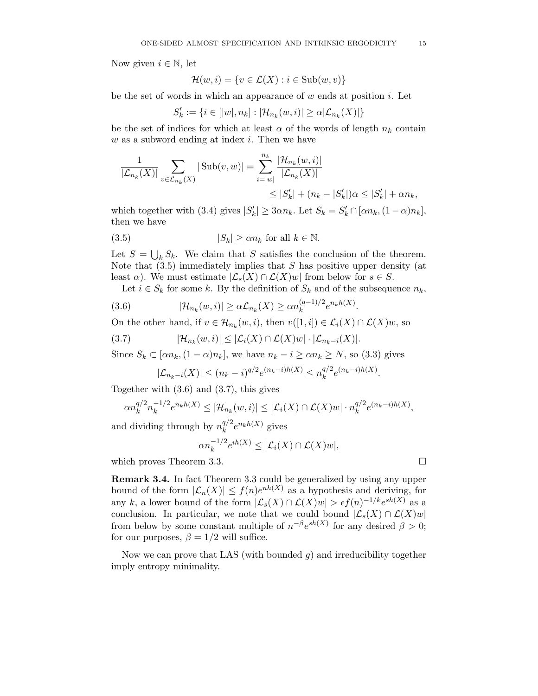Now given  $i \in \mathbb{N}$ , let

$$
\mathcal{H}(w,i) = \{v \in \mathcal{L}(X) : i \in \text{Sub}(w,v)\}\
$$

be the set of words in which an appearance of  $w$  ends at position  $i$ . Let

$$
S'_{k} := \{ i \in [|w|, n_{k}] : |\mathcal{H}_{n_{k}}(w, i)| \ge \alpha |\mathcal{L}_{n_{k}}(X)| \}
$$

be the set of indices for which at least  $\alpha$  of the words of length  $n_k$  contain  $w$  as a subword ending at index  $i$ . Then we have

$$
\frac{1}{|\mathcal{L}_{n_k}(X)|} \sum_{v \in \mathcal{L}_{n_k}(X)} |\operatorname{Sub}(v, w)| = \sum_{i=|w|}^{n_k} \frac{|\mathcal{H}_{n_k}(w, i)|}{|\mathcal{L}_{n_k}(X)|} \leq |S'_k| + (n_k - |S'_k|) \alpha \leq |S'_k| + \alpha n_k,
$$

which together with (3.4) gives  $|S'_k| \geq 3\alpha n_k$ . Let  $S_k = S'_k \cap [\alpha n_k, (1-\alpha)n_k]$ , then we have

(3.5) 
$$
|S_k| \ge \alpha n_k \text{ for all } k \in \mathbb{N}.
$$

Let  $S = \bigcup_k S_k$ . We claim that S satisfies the conclusion of the theorem. Note that  $(3.5)$  immediately implies that S has positive upper density (at least  $\alpha$ ). We must estimate  $\mathcal{L}_s(X) \cap \mathcal{L}(X)$  from below for  $s \in S$ .

Let  $i \in S_k$  for some k. By the definition of  $S_k$  and of the subsequence  $n_k$ ,

.

(3.6) 
$$
|\mathcal{H}_{n_k}(w,i)| \geq \alpha \mathcal{L}_{n_k}(X) \geq \alpha n_k^{(q-1)/2} e^{n_k h(X)}
$$

On the other hand, if  $v \in \mathcal{H}_{n_k}(w, i)$ , then  $v([1, i]) \in \mathcal{L}_i(X) \cap \mathcal{L}(X)w$ , so

$$
(3.7) \qquad |\mathcal{H}_{n_k}(w,i)| \leq |\mathcal{L}_i(X) \cap \mathcal{L}(X)w| \cdot |\mathcal{L}_{n_k-i}(X)|.
$$

Since  $S_k \subset [\alpha n_k, (1-\alpha)n_k]$ , we have  $n_k - i \geq \alpha n_k \geq N$ , so (3.3) gives

$$
|\mathcal{L}_{n_k-i}(X)| \le (n_k-i)^{q/2} e^{(n_k-i)h(X)} \le n_k^{q/2} e^{(n_k-i)h(X)}.
$$

Together with (3.6) and (3.7), this gives

$$
\alpha n_k^{q/2} n_k^{-1/2} e^{n_k h(X)} \leq |\mathcal{H}_{n_k}(w,i)| \leq |\mathcal{L}_i(X) \cap \mathcal{L}(X)w| \cdot n_k^{q/2} e^{(n_k - i)h(X)},
$$

and dividing through by  $n_k^{q/2}$  $k^{q/2}e^{n_kh(X)}$  gives

$$
\alpha n_k^{-1/2} e^{ih(X)} \leq |\mathcal{L}_i(X) \cap \mathcal{L}(X)w|,
$$

which proves Theorem 3.3.

Remark 3.4. In fact Theorem 3.3 could be generalized by using any upper bound of the form  $|\mathcal{L}_n(X)| \leq f(n)e^{nh(X)}$  as a hypothesis and deriving, for any k, a lower bound of the form  $|\mathcal{L}_{s}(X) \cap \mathcal{L}(X)w| > \epsilon f(n)^{-1/k} e^{sh(X)}$  as a conclusion. In particular, we note that we could bound  $|\mathcal{L}_s(X) \cap \mathcal{L}(X)w|$ from below by some constant multiple of  $n^{-\beta}e^{sh(X)}$  for any desired  $\beta > 0$ ; for our purposes,  $\beta = 1/2$  will suffice.

Now we can prove that LAS (with bounded  $g$ ) and irreducibility together imply entropy minimality.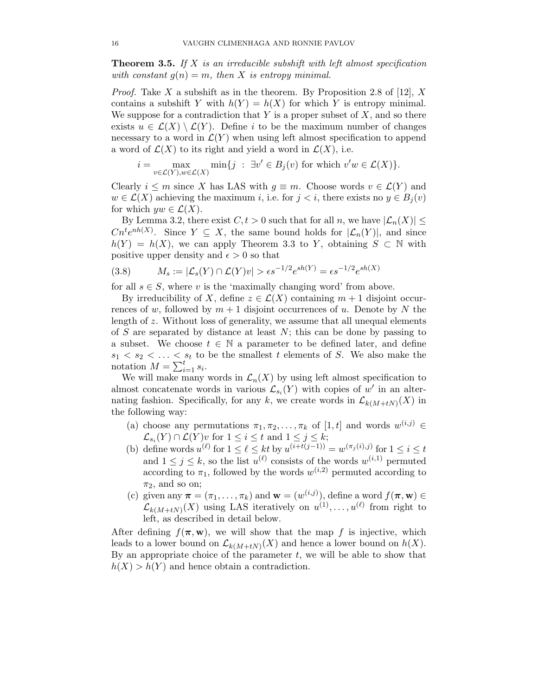Theorem 3.5. *If* X *is an irreducible subshift with left almost specification with constant*  $g(n) = m$ *, then* X *is entropy minimal.* 

*Proof.* Take X a subshift as in the theorem. By Proposition 2.8 of [12], X contains a subshift Y with  $h(Y) = h(X)$  for which Y is entropy minimal. We suppose for a contradiction that  $Y$  is a proper subset of  $X$ , and so there exists  $u \in \mathcal{L}(X) \setminus \mathcal{L}(Y)$ . Define i to be the maximum number of changes necessary to a word in  $\mathcal{L}(Y)$  when using left almost specification to append a word of  $\mathcal{L}(X)$  to its right and yield a word in  $\mathcal{L}(X)$ , i.e.

$$
i = \max_{v \in \mathcal{L}(Y), w \in \mathcal{L}(X)} \min\{j \ : \ \exists v' \in B_j(v) \text{ for which } v'w \in \mathcal{L}(X)\}.
$$

Clearly  $i \leq m$  since X has LAS with  $q \equiv m$ . Choose words  $v \in \mathcal{L}(Y)$  and  $w \in \mathcal{L}(X)$  achieving the maximum i, i.e. for  $j < i$ , there exists no  $y \in B_i(v)$ for which  $yw \in \mathcal{L}(X)$ .

By Lemma 3.2, there exist  $C, t > 0$  such that for all n, we have  $|\mathcal{L}_n(X)| \leq$  $Cn^t e^{nh(X)}$ . Since  $Y \subseteq X$ , the same bound holds for  $|\mathcal{L}_n(Y)|$ , and since  $h(Y) = h(X)$ , we can apply Theorem 3.3 to Y, obtaining  $S \subset \mathbb{N}$  with positive upper density and  $\epsilon > 0$  so that

$$
(3.8) \qquad M_s := |\mathcal{L}_s(Y) \cap \mathcal{L}(Y)v| > \epsilon s^{-1/2} e^{sh(Y)} = \epsilon s^{-1/2} e^{sh(X)}
$$

for all  $s \in S$ , where v is the 'maximally changing word' from above.

By irreducibility of X, define  $z \in \mathcal{L}(X)$  containing  $m+1$  disjoint occurrences of w, followed by  $m + 1$  disjoint occurrences of u. Denote by N the length of z. Without loss of generality, we assume that all unequal elements of  $S$  are separated by distance at least  $N$ ; this can be done by passing to a subset. We choose  $t \in \mathbb{N}$  a parameter to be defined later, and define  $s_1 < s_2 < \ldots < s_t$  to be the smallest t elements of S. We also make the notation  $M = \sum_{i=1}^{t} s_i$ .

We will make many words in  $\mathcal{L}_n(X)$  by using left almost specification to almost concatenate words in various  $\mathcal{L}_{s_i}(Y)$  with copies of w' in an alternating fashion. Specifically, for any k, we create words in  $\mathcal{L}_{k(M+tN)}(X)$  in the following way:

- (a) choose any permutations  $\pi_1, \pi_2, \ldots, \pi_k$  of [1, t] and words  $w^{(i,j)} \in$  $\mathcal{L}_{s_i}(Y) \cap \mathcal{L}(Y)$  for  $1 \leq i \leq t$  and  $1 \leq j \leq k$ ;
- (b) define words  $u^{(\ell)}$  for  $1 \leq \ell \leq kt$  by  $u^{(i+t(j-1))} = w^{(\pi_j(i),j)}$  for  $1 \leq i \leq t$ and  $1 \leq j \leq k$ , so the list  $u^{(\ell)}$  consists of the words  $w^{(i,1)}$  permuted according to  $\pi_1$ , followed by the words  $w^{(i,2)}$  permuted according to  $\pi_2$ , and so on;
- (c) given any  $\boldsymbol{\pi} = (\pi_1, \ldots, \pi_k)$  and  $\mathbf{w} = (w^{(i,j)})$ , define a word  $f(\boldsymbol{\pi}, \mathbf{w}) \in$  $\mathcal{L}_{k(M+tN)}(X)$  using LAS iteratively on  $u^{(1)}, \ldots, u^{(\ell)}$  from right to left, as described in detail below.

After defining  $f(\pi, \mathbf{w})$ , we will show that the map f is injective, which leads to a lower bound on  $\mathcal{L}_{k(M+tN)}(X)$  and hence a lower bound on  $h(X)$ . By an appropriate choice of the parameter  $t$ , we will be able to show that  $h(X) > h(Y)$  and hence obtain a contradiction.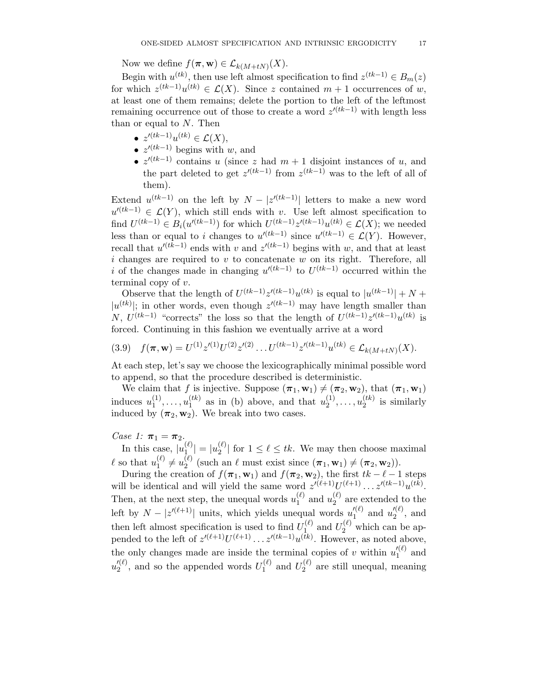Now we define  $f(\boldsymbol{\pi}, \mathbf{w}) \in \mathcal{L}_{k(M+tN)}(X)$ .

Begin with  $u^{(tk)}$ , then use left almost specification to find  $z^{(tk-1)} \in B_m(z)$ for which  $z^{(tk-1)}u^{(tk)} \in \mathcal{L}(X)$ . Since z contained  $m+1$  occurrences of w, at least one of them remains; delete the portion to the left of the leftmost remaining occurrence out of those to create a word  $z^{(tk-1)}$  with length less than or equal to  $N$ . Then

- $z'^{(tk-1)}u^{(tk)} \in \mathcal{L}(X),$
- $z'^{(tk-1)}$  begins with w, and
- $z^{l(k-1)}$  contains u (since z had  $m+1$  disjoint instances of u, and the part deleted to get  $z^{(tk-1)}$  from  $z^{(tk-1)}$  was to the left of all of them).

Extend  $u^{(tk-1)}$  on the left by  $N - |z^{(tk-1)}|$  letters to make a new word  $u'^{(tk-1)} \in \mathcal{L}(Y)$ , which still ends with v. Use left almost specification to find  $U^{(tk-1)} \in B_i(u^{(tk-1)})$  for which  $U^{(tk-1)}z^{(tk-1)}u^{(tk)} \in \mathcal{L}(X)$ ; we needed less than or equal to i changes to  $u'^{(tk-1)}$  since  $u'^{(tk-1)} \in \mathcal{L}(Y)$ . However, recall that  $u'(t-1)$  ends with v and  $z'(t-1)$  begins with w, and that at least i changes are required to v to concatenate w on its right. Therefore, all i of the changes made in changing  $u'(tk-1)$  to  $U^{(tk-1)}$  occurred within the terminal copy of v.

Observe that the length of  $U^{(tk-1)}z^{((tk-1)}u^{(tk)}$  is equal to  $|u^{(tk-1)}| + N +$  $|u^{(tk)}|$ ; in other words, even though  $z^{(tk-1)}$  may have length smaller than N,  $U^{(tk-1)}$  "corrects" the loss so that the length of  $U^{(tk-1)}z^{(tk-1)}u^{(tk)}$  is forced. Continuing in this fashion we eventually arrive at a word

$$
(3.9) \quad f(\boldsymbol{\pi}, \mathbf{w}) = U^{(1)} z'^{(1)} U^{(2)} z'^{(2)} \dots U^{(tk-1)} z'^{(tk-1)} u^{(tk)} \in \mathcal{L}_{k(M+tN)}(X).
$$

At each step, let's say we choose the lexicographically minimal possible word to append, so that the procedure described is deterministic.

We claim that f is injective. Suppose  $(\pi_1, \mathbf{w}_1) \neq (\pi_2, \mathbf{w}_2)$ , that  $(\pi_1, \mathbf{w}_1)$ induces  $u_1^{(1)}$  $u_1^{(1)}, \ldots, u_1^{(tk)}$  $\binom{tk}{1}$  as in (b) above, and that  $u_2^{(1)}$  $\binom{1}{2}, \ldots, \binom{t}{2}$  $2^{(\iota \kappa)}$  is similarly induced by  $(\pi_2, \mathbf{w}_2)$ . We break into two cases.

# *Case 1:*  $\pi_1 = \pi_2$ .

In this case,  $|u_{1}^{(\ell)}\rangle$  $|u_1^{(\ell)}| = |u_2^{(\ell)}|$  $\binom{[e]}{2}$  for  $1 \leq \ell \leq tk$ . We may then choose maximal  $\ell$  so that  $u_1^{(\ell)}$  $u_1^{(\ell)} \neq u_2^{(\ell)}$ (e) (such an  $\ell$  must exist since  $(\pi_1, \mathbf{w}_1) \neq (\pi_2, \mathbf{w}_2)$ ).

During the creation of  $f(\pi_1, \mathbf{w}_1)$  and  $f(\pi_2, \mathbf{w}_2)$ , the first  $tk - \ell - 1$  steps will be identical and will yield the same word  $z^{(l+1)}U^{(l+1)}\dots z^{(tk-1)}u^{(tk)}$ . Then, at the next step, the unequal words  $u_1^{(\ell)}$  $u_1^{(\ell)}$  and  $u_2^{(\ell)}$  $\binom{1}{2}$  are extended to the left by  $N - |z^{(\ell+1)}|$  units, which yields unequal words  $u_1'^{(\ell)}$  and  $u_2'^{(\ell)}$ , and then left almost specification is used to find  $U_1^{(\ell)}$  $U_1^{(\ell)}$  and  $U_2^{(\ell)}$  which can be appended to the left of  $z^{(\ell+1)}U^{(\ell+1)}\dots z^{(\ell k-1)}u^{(tk)}$ . However, as noted above, the only changes made are inside the terminal copies of v within  $u_1^{(\ell)}$  and  $u_2^{\prime(\ell)}$ , and so the appended words  $U_1^{(\ell)}$  $U_1^{(\ell)}$  and  $U_2^{(\ell)}$  $2^{(t)}$  are still unequal, meaning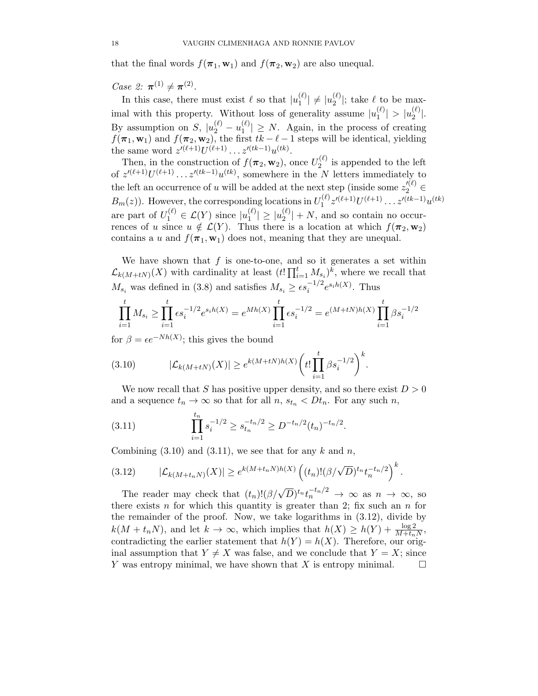that the final words  $f(\pi_1, \mathbf{w}_1)$  and  $f(\pi_2, \mathbf{w}_2)$  are also unequal.

*Case 2:*  $\pi^{(1)} \neq \pi^{(2)}$ .

In this case, there must exist  $\ell$  so that  $|u_1^{(\ell)}\rangle$  $|u_1^{(\ell)}| \neq |u_2^{(\ell)}|$  $\binom{1}{2}$ ; take  $\ell$  to be maximal with this property. Without loss of generality assume  $|u_1^{(\ell)}\rangle$  $|u_1^{(\ell)}| > |u_2^{(\ell)}|$  $\binom{(\ell)}{2}$ . By assumption on S,  $|u_2^{(\ell)} - u_1^{(\ell)}|$  $\binom{[c]}{1} \geq N$ . Again, in the process of creating  $f(\pi_1, \mathbf{w}_1)$  and  $f(\pi_2, \mathbf{w}_2)$ , the first  $tk - \ell - 1$  steps will be identical, yielding the same word  $z'^{(\ell+1)}U^{(\ell+1)}\dots z'^{(tk-1)}u^{(tk)}$ .

Then, in the construction of  $f(\pi_2, \mathbf{w}_2)$ , once  $U_2^{(\ell)}$  $2^{(t)}$  is appended to the left of  $z^{(\ell+1)}U^{(\ell+1)}\dots z^{(\ell k-1)}u^{(tk)}$ , somewhere in the N letters immediately to the left an occurrence of u will be added at the next step (inside some  $z_2^{(\ell)} \in$  $B_m(z)$ ). However, the corresponding locations in  $U_1^{(\ell)}$  $1^{(\ell)}z'^{(\ell+1)}U^{(\ell+1)}\ldots z'^{(tk-1)}u^{(tk)}$ are part of  $U_1^{(\ell)} \in \mathcal{L}(Y)$  since  $|u_1^{(\ell)}|$  $|u_1^{(\ell)}| \geq |u_2^{(\ell)}|$  $\binom{[c]}{2}$  + N, and so contain no occurrences of u since  $u \notin \mathcal{L}(Y)$ . Thus there is a location at which  $f(\pi_2, \mathbf{w}_2)$ contains a u and  $f(\pi_1, \mathbf{w}_1)$  does not, meaning that they are unequal.

We have shown that  $f$  is one-to-one, and so it generates a set within  $\mathcal{L}_{k(M+tN)}(X)$  with cardinality at least  $(t! \prod_{i=1}^t M_{s_i})^k$ , where we recall that  $M_{s_i}$  was defined in (3.8) and satisfies  $M_{s_i} \ge \epsilon s_i^{-1/2} e^{s_i h(X)}$ . Thus

$$
\prod_{i=1}^t M_{s_i} \ge \prod_{i=1}^t \epsilon s_i^{-1/2} e^{s_i h(X)} = e^{Mh(X)} \prod_{i=1}^t \epsilon s_i^{-1/2} = e^{(M+tN)h(X)} \prod_{i=1}^t \beta s_i^{-1/2}
$$

for  $\beta = \epsilon e^{-Nh(X)}$ ; this gives the bound

(3.10) 
$$
|\mathcal{L}_{k(M+tN)}(X)| \geq e^{k(M+tN)h(X)} \bigg(t! \prod_{i=1}^{t} \beta s_i^{-1/2}\bigg)^k.
$$

We now recall that S has positive upper density, and so there exist  $D > 0$ and a sequence  $t_n \to \infty$  so that for all  $n, s_{t_n} < Dt_n$ . For any such n,

(3.11) 
$$
\prod_{i=1}^{t_n} s_i^{-1/2} \ge s_{t_n}^{-t_n/2} \ge D^{-t_n/2} (t_n)^{-t_n/2}.
$$

Combining  $(3.10)$  and  $(3.11)$ , we see that for any k and n,

$$
(3.12) \qquad |\mathcal{L}_{k(M+t_nN)}(X)| \geq e^{k(M+t_nN)h(X)} \left( (t_n)! (\beta/\sqrt{D})^{t_n} t_n^{-t_n/2} \right)^k.
$$

The reader may check that  $(t_n)! (\beta/\sqrt{D})^{t_n} t_n^{-t_n/2} \to \infty$  as  $n \to \infty$ , so there exists n for which this quantity is greater than 2; fix such an  $n$  for the remainder of the proof. Now, we take logarithms in (3.12), divide by  $k(M + t_n N)$ , and let  $k \to \infty$ , which implies that  $h(X) \ge h(Y) + \frac{\log 2}{M + t_n N}$ , contradicting the earlier statement that  $h(Y) = h(X)$ . Therefore, our original assumption that  $Y \neq X$  was false, and we conclude that  $Y = X$ ; since Y was entropy minimal, we have shown that X is entropy minimal.  $Y$  was entropy minimal, we have shown that  $X$  is entropy minimal.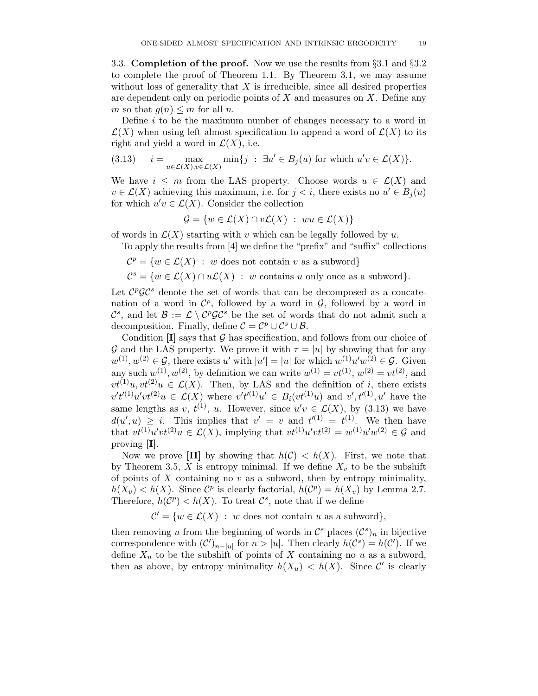3.3. Completion of the proof. Now we use the results from  $\S 3.1$  and  $\S 3.2$ to complete the proof of Theorem 1.1. By Theorem 3.1, we may assume without loss of generality that  $X$  is irreducible, since all desired properties are dependent only on periodic points of  $X$  and measures on  $X$ . Define any m so that  $q(n) \leq m$  for all n.

Define  $i$  to be the maximum number of changes necessary to a word in  $\mathcal{L}(X)$  when using left almost specification to append a word of  $\mathcal{L}(X)$  to its right and yield a word in  $\mathcal{L}(X)$ , i.e.

(3.13) 
$$
i = \max_{u \in \mathcal{L}(X), v \in \mathcal{L}(X)} \min\{j : \exists u' \in B_j(u) \text{ for which } u'v \in \mathcal{L}(X)\}.
$$

We have  $i \leq m$  from the LAS property. Choose words  $u \in \mathcal{L}(X)$  and  $v \in \mathcal{L}(X)$  achieving this maximum, i.e. for  $j < i$ , there exists no  $u' \in B_j(u)$ for which  $u'v \in \mathcal{L}(X)$ . Consider the collection

$$
\mathcal{G} = \{ w \in \mathcal{L}(X) \cap v\mathcal{L}(X) : wu \in \mathcal{L}(X) \}
$$

of words in  $\mathcal{L}(X)$  starting with v which can be legally followed by u.

To apply the results from [4] we define the "prefix" and "suffix" collections

 $\mathcal{C}^p = \{w \in \mathcal{L}(X) \; : \; w \text{ does not contain } v \text{ as a subword}\}\$ 

 $\mathcal{C}^s = \{ w \in \mathcal{L}(X) \cap u\mathcal{L}(X) : w \text{ contains } u \text{ only once as a subword} \}.$ 

Let  $\mathcal{C}^p\mathcal{G}\mathcal{C}^s$  denote the set of words that can be decomposed as a concatenation of a word in  $\mathcal{C}^p$ , followed by a word in  $\mathcal{G}$ , followed by a word in  $\mathcal{C}^s$ , and let  $\mathcal{B} := \mathcal{L} \setminus \mathcal{C}^p \mathcal{G} \mathcal{C}^s$  be the set of words that do not admit such a decomposition. Finally, define  $\mathcal{C} = \mathcal{C}^p \cup \mathcal{C}^s \cup \mathcal{B}$ .

Condition  $[I]$  says that  $G$  has specification, and follows from our choice of G and the LAS property. We prove it with  $\tau = |u|$  by showing that for any  $w^{(1)}, w^{(2)} \in \mathcal{G}$ , there exists u' with  $|u'| = |u|$  for which  $w^{(1)}w^{(2)} \in \mathcal{G}$ . Given any such  $w^{(1)}, w^{(2)}$ , by definition we can write  $w^{(1)} = vt^{(1)}$ ,  $w^{(2)} = vt^{(2)}$ , and  $vt^{(1)}u, vt^{(2)}u \in \mathcal{L}(X)$ . Then, by LAS and the definition of i, there exists  $v't'^{(1)}u'vt^{(2)}u \in \mathcal{L}(X)$  where  $v't'^{(1)}u' \in B_i(vt^{(1)}u)$  and  $v', t'^{(1)}, u'$  have the same lengths as v,  $t^{(1)}$ , u. However, since  $u'v \in \mathcal{L}(X)$ , by (3.13) we have  $d(u', u) \geq i$ . This implies that  $v' = v$  and  $t'^{(1)} = t^{(1)}$ . We then have that  $vt^{(1)}u'vt^{(2)}u \in \mathcal{L}(X)$ , implying that  $vt^{(1)}u'vt^{(2)} = w^{(1)}u'w^{(2)} \in \mathcal{G}$  and proving [I].

Now we prove [II] by showing that  $h(\mathcal{C}) < h(X)$ . First, we note that by Theorem 3.5, X is entropy minimal. If we define  $X_v$  to be the subshift of points of  $X$  containing no  $v$  as a subword, then by entropy minimality,  $h(X_v) < h(X)$ . Since  $\mathcal{C}^p$  is clearly factorial,  $h(\mathcal{C}^p) = h(X_v)$  by Lemma 2.7. Therefore,  $h(\mathcal{C}^p) < h(X)$ . To treat  $\mathcal{C}^s$ , note that if we define

 $\mathcal{C}' = \{w \in \mathcal{L}(X) : w \text{ does not contain } u \text{ as a subword}\},\$ 

then removing u from the beginning of words in  $\mathcal{C}^s$  places  $(\mathcal{C}^s)_n$  in bijective correspondence with  $(C')_{n-|u|}$  for  $n>|u|$ . Then clearly  $h(C<sup>s</sup>) = h(C')$ . If we define  $X_u$  to be the subshift of points of X containing no u as a subword, then as above, by entropy minimality  $h(X_u) < h(X)$ . Since C' is clearly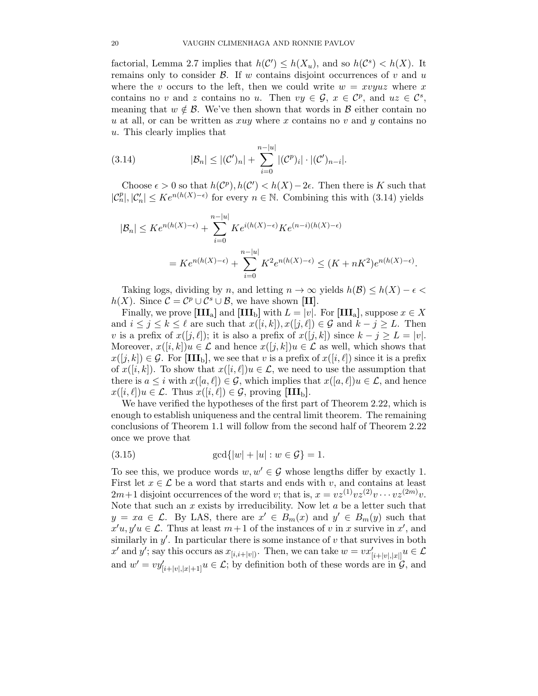factorial, Lemma 2.7 implies that  $h(\mathcal{C}') \leq h(X_u)$ , and so  $h(\mathcal{C}^s) < h(X)$ . It remains only to consider  $\beta$ . If w contains disjoint occurrences of v and u where the v occurs to the left, then we could write  $w = xv yuz$  where x contains no v and z contains no u. Then  $vy \in \mathcal{G}$ ,  $x \in \mathcal{C}^p$ , and  $uz \in \mathcal{C}^s$ , meaning that  $w \notin \mathcal{B}$ . We've then shown that words in  $\mathcal{B}$  either contain no u at all, or can be written as  $xuy$  where x contains no v and y contains no u. This clearly implies that

(3.14) 
$$
|\mathcal{B}_n| \le |(\mathcal{C}')_n| + \sum_{i=0}^{n-|u|} |(\mathcal{C}^p)_i| \cdot |(\mathcal{C}')_{n-i}|.
$$

Choose  $\epsilon > 0$  so that  $h(\mathcal{C}^p), h(\mathcal{C}') < h(X) - 2\epsilon$ . Then there is K such that  $|\mathcal{C}_n^p|, |\mathcal{C}_n'| \leq Ke^{n(h(X)-\epsilon)}$  for every  $n \in \mathbb{N}$ . Combining this with (3.14) yields

$$
|\mathcal{B}_n| \leq Ke^{n(h(X)-\epsilon)} + \sum_{i=0}^{n-|u|} Ke^{i(h(X)-\epsilon)}Ke^{(n-i)(h(X)-\epsilon)}
$$
  
=  $Ke^{n(h(X)-\epsilon)} + \sum_{i=0}^{n-|u|} K^2e^{n(h(X)-\epsilon)} \leq (K+nK^2)e^{n(h(X)-\epsilon)}.$ 

Taking logs, dividing by n, and letting  $n \to \infty$  yields  $h(\mathcal{B}) \leq h(X) - \epsilon$  $h(X)$ . Since  $C = C^p \cup C^s \cup B$ , we have shown [II].

Finally, we prove  $\text{[III}_a$  and  $\text{[III}_b]$  with  $L = |v|$ . For  $\text{[III}_a$ , suppose  $x \in X$ and  $i \leq j \leq k \leq \ell$  are such that  $x([i,k]), x([j,\ell]) \in \mathcal{G}$  and  $k - j \geq L$ . Then v is a prefix of  $x([j, \ell])$ ; it is also a prefix of  $x([j, k])$  since  $k - j \geq L = |v|$ . Moreover,  $x([i, k])u \in \mathcal{L}$  and hence  $x([j, k])u \in \mathcal{L}$  as well, which shows that  $x([j, k]) \in \mathcal{G}$ . For  $[\text{III}_b]$ , we see that v is a prefix of  $x([i, \ell])$  since it is a prefix of  $x([i, k])$ . To show that  $x([i, \ell])u \in \mathcal{L}$ , we need to use the assumption that there is  $a \leq i$  with  $x([a, \ell]) \in \mathcal{G}$ , which implies that  $x([a, \ell])u \in \mathcal{L}$ , and hence  $x([i, \ell])u \in \mathcal{L}$ . Thus  $x([i, \ell]) \in \mathcal{G}$ , proving [III<sub>b</sub>].

We have verified the hypotheses of the first part of Theorem 2.22, which is enough to establish uniqueness and the central limit theorem. The remaining conclusions of Theorem 1.1 will follow from the second half of Theorem 2.22 once we prove that

(3.15) 
$$
\gcd\{|w| + |u| : w \in \mathcal{G}\} = 1.
$$

To see this, we produce words  $w, w' \in \mathcal{G}$  whose lengths differ by exactly 1. First let  $x \in \mathcal{L}$  be a word that starts and ends with v, and contains at least  $2m+1$  disjoint occurrences of the word v; that is,  $x = vz^{(1)}vz^{(2)}v \cdots vz^{(2m)}v$ . Note that such an  $x$  exists by irreducibility. Now let  $a$  be a letter such that  $y = xa \in \mathcal{L}$ . By LAS, there are  $x' \in B_m(x)$  and  $y' \in B_m(y)$  such that  $x'u, y'u \in \mathcal{L}$ . Thus at least  $m+1$  of the instances of v in x survive in  $x'$ , and similarly in  $y'$ . In particular there is some instance of  $v$  that survives in both  $x'$  and  $y'$ ; say this occurs as  $x_{[i,i+|v|)}$ . Then, we can take  $w = vx'_{[i+|v|,|x|]} u \in \mathcal{L}$ and  $w' = vy'_{[i+|v|,|x|+1]}$   $u \in \mathcal{L}$ ; by definition both of these words are in  $\mathcal{G}$ , and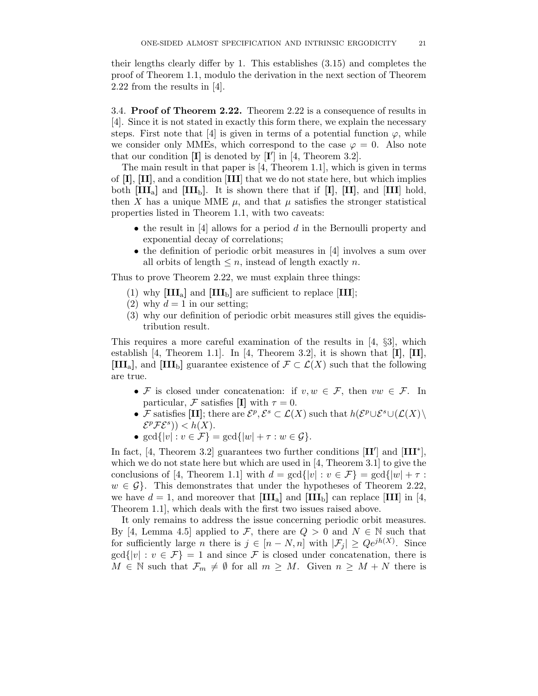their lengths clearly differ by 1. This establishes (3.15) and completes the proof of Theorem 1.1, modulo the derivation in the next section of Theorem 2.22 from the results in [4].

3.4. Proof of Theorem 2.22. Theorem 2.22 is a consequence of results in [4]. Since it is not stated in exactly this form there, we explain the necessary steps. First note that [4] is given in terms of a potential function  $\varphi$ , while we consider only MMEs, which correspond to the case  $\varphi = 0$ . Also note that our condition  $[I]$  is denoted by  $[I']$  in [4, Theorem 3.2].

The main result in that paper is [4, Theorem 1.1], which is given in terms of  $[I], [II],$  and a condition  $[III]$  that we do not state here, but which implies both  $\text{[III}_a\text{]}$  and  $\text{[III}_b\text{]}$ . It is shown there that if  $\text{[I]}, \text{[II]},$  and  $\text{[III]}$  hold, then X has a unique MME  $\mu$ , and that  $\mu$  satisfies the stronger statistical properties listed in Theorem 1.1, with two caveats:

- the result in  $[4]$  allows for a period d in the Bernoulli property and exponential decay of correlations;
- the definition of periodic orbit measures in [4] involves a sum over all orbits of length  $\leq n$ , instead of length exactly n.

Thus to prove Theorem 2.22, we must explain three things:

- (1) why  $\text{[III}_a$  and  $\text{[III}_b$  are sufficient to replace  $\text{[III]}$ ;
- (2) why  $d = 1$  in our setting;
- (3) why our definition of periodic orbit measures still gives the equidistribution result.

This requires a more careful examination of the results in [4, §3], which establish [4, Theorem 1.1]. In [4, Theorem 3.2], it is shown that  $[I], [II],$  $[\mathbf{III}_a]$ , and  $[\mathbf{III}_b]$  guarantee existence of  $\mathcal{F} \subset \mathcal{L}(X)$  such that the following are true.

- F is closed under concatenation: if  $v, w \in \mathcal{F}$ , then  $vw \in \mathcal{F}$ . In particular, F satisfies [I] with  $\tau = 0$ .
- F satisfies [II]; there are  $\mathcal{E}^p$ ,  $\mathcal{E}^s \subset \mathcal{L}(X)$  such that  $h(\mathcal{E}^p \cup \mathcal{E}^s \cup (\mathcal{L}(X))$  $\mathcal{E}^p \mathcal{F} \mathcal{E}^s$ )) < h(X).
- $gcd{ |v| : v \in \mathcal{F} } = gcd{ |w| + \tau : w \in \mathcal{G} }$ .

In fact, [4, Theorem 3.2] guarantees two further conditions  $[II']$  and  $[III^*]$ , which we do not state here but which are used in [4, Theorem 3.1] to give the conclusions of [4, Theorem 1.1] with  $d = \gcd\{|v| : v \in \mathcal{F}\} = \gcd\{|w| + \tau$ :  $w \in \mathcal{G}$ . This demonstrates that under the hypotheses of Theorem 2.22, we have  $d = 1$ , and moreover that  $\text{[III}_a$  and  $\text{[III}_b]$  can replace  $\text{[III]}$  in [4, Theorem 1.1], which deals with the first two issues raised above.

It only remains to address the issue concerning periodic orbit measures. By [4, Lemma 4.5] applied to F, there are  $Q > 0$  and  $N \in \mathbb{N}$  such that for sufficiently large *n* there is  $j \in [n-N, n]$  with  $|\mathcal{F}_j| \geq Qe^{jh(X)}$ . Since  $gcd\{|v| : v \in \mathcal{F}\} = 1$  and since  $\mathcal F$  is closed under concatenation, there is  $M \in \mathbb{N}$  such that  $\mathcal{F}_m \neq \emptyset$  for all  $m \geq M$ . Given  $n \geq M + N$  there is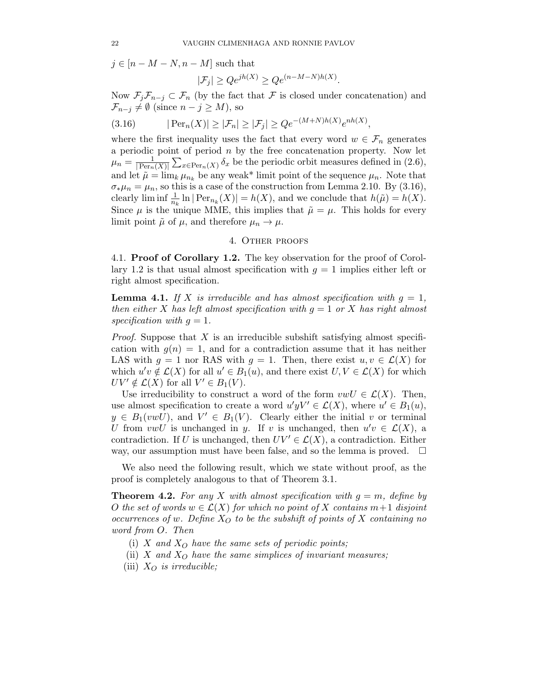$j \in [n - M - N, n - M]$  such that

$$
|\mathcal{F}_j| \ge Q e^{jh(X)} \ge Q e^{(n-M-N)h(X)}.
$$

Now  $\mathcal{F}_j\mathcal{F}_{n-j}\subset\mathcal{F}_n$  (by the fact that  $\mathcal F$  is closed under concatenation) and  $\mathcal{F}_{n-j} \neq \emptyset$  (since  $n-j \geq M$ ), so

$$
(3.16) \qquad |\operatorname{Per}_n(X)| \ge |\mathcal{F}_n| \ge |\mathcal{F}_j| \ge Qe^{-(M+N)h(X)}e^{nh(X)},
$$

where the first inequality uses the fact that every word  $w \in \mathcal{F}_n$  generates a periodic point of period  $n$  by the free concatenation property. Now let  $\mu_n = \frac{1}{\text{Per}_n}$  $\frac{1}{|\text{Per}_n(X)|} \sum_{x \in \text{Per}_n(X)} \delta_x$  be the periodic orbit measures defined in  $(2.6)$ , and let  $\tilde{\mu} = \lim_{k} \mu_{n_k}$  be any weak\* limit point of the sequence  $\mu_n$ . Note that  $\sigma_* \mu_n = \mu_n$ , so this is a case of the construction from Lemma 2.10. By (3.16), clearly  $\liminf \frac{1}{n_k} \ln |\text{Per}_{n_k}(X)| = h(X)$ , and we conclude that  $h(\tilde{\mu}) = h(X)$ . Since  $\mu$  is the unique MME, this implies that  $\tilde{\mu} = \mu$ . This holds for every limit point  $\tilde{\mu}$  of  $\mu$ , and therefore  $\mu_n \to \mu$ .

### 4. Other proofs

4.1. Proof of Corollary 1.2. The key observation for the proof of Corollary 1.2 is that usual almost specification with  $q = 1$  implies either left or right almost specification.

**Lemma 4.1.** If X is irreducible and has almost specification with  $q = 1$ , *then either* X *has left almost specification with* g = 1 *or* X *has right almost* specification with  $q = 1$ .

*Proof.* Suppose that X is an irreducible subshift satisfying almost specification with  $g(n) = 1$ , and for a contradiction assume that it has neither LAS with  $g = 1$  nor RAS with  $g = 1$ . Then, there exist  $u, v \in \mathcal{L}(X)$  for which  $u'v \notin \mathcal{L}(X)$  for all  $u' \in B_1(u)$ , and there exist  $U, V \in \mathcal{L}(X)$  for which  $UV' \notin \mathcal{L}(X)$  for all  $V' \in B_1(V)$ .

Use irreducibility to construct a word of the form  $vwU \in \mathcal{L}(X)$ . Then, use almost specification to create a word  $u'yV' \in \mathcal{L}(X)$ , where  $u' \in B_1(u)$ ,  $y \in B_1(vwU)$ , and  $V' \in B_1(V)$ . Clearly either the initial v or terminal U from  $vwU$  is unchanged in y. If v is unchanged, then  $u'v \in \mathcal{L}(X)$ , a contradiction. If U is unchanged, then  $UV' \in \mathcal{L}(X)$ , a contradiction. Either way, our assumption must have been false, and so the lemma is proved.  $\Box$ 

We also need the following result, which we state without proof, as the proof is completely analogous to that of Theorem 3.1.

**Theorem 4.2.** For any X with almost specification with  $g = m$ , define by O the set of words  $w \in \mathcal{L}(X)$  for which no point of X contains  $m+1$  disjoint *occurrences of* w. Define  $X_O$  to be the subshift of points of X containing no *word from* O*. Then*

- (i)  $X$  *and*  $X_O$  *have the same sets of periodic points;*
- (ii)  $X$  *and*  $X_O$  *have the same simplices of invariant measures;*
- (iii)  $X_O$  *is irreducible;*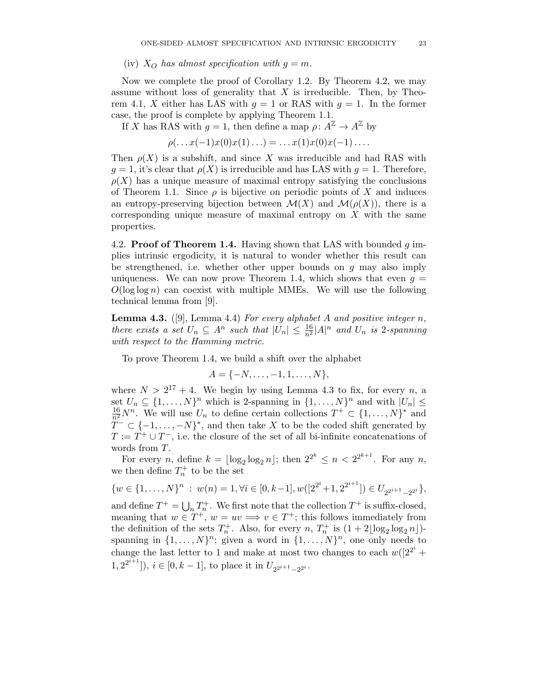### (iv)  $X_O$  has almost specification with  $q = m$ .

Now we complete the proof of Corollary 1.2. By Theorem 4.2, we may assume without loss of generality that  $X$  is irreducible. Then, by Theorem 4.1, X either has LAS with  $q = 1$  or RAS with  $q = 1$ . In the former case, the proof is complete by applying Theorem 1.1.

If X has RAS with  $g = 1$ , then define a map  $\rho: A^{\mathbb{Z}} \to A^{\mathbb{Z}}$  by

 $\rho(\ldots x(-1)x(0)x(1)\ldots) = \ldots x(1)x(0)x(-1)\ldots$ 

Then  $\rho(X)$  is a subshift, and since X was irreducible and had RAS with  $g = 1$ , it's clear that  $\rho(X)$  is irreducible and has LAS with  $g = 1$ . Therefore,  $\rho(X)$  has a unique measure of maximal entropy satisfying the conclusions of Theorem 1.1. Since  $\rho$  is bijective on periodic points of X and induces an entropy-preserving bijection between  $\mathcal{M}(X)$  and  $\mathcal{M}(\rho(X))$ , there is a corresponding unique measure of maximal entropy on  $X$  with the same properties.

4.2. **Proof of Theorem 1.4.** Having shown that LAS with bounded  $g$  implies intrinsic ergodicity, it is natural to wonder whether this result can be strengthened, i.e. whether other upper bounds on  $q$  may also imply uniqueness. We can now prove Theorem 1.4, which shows that even  $g =$  $O(\log \log n)$  can coexist with multiple MMEs. We will use the following technical lemma from [9].

Lemma 4.3. ([9], Lemma 4.4) *For every alphabet* A *and positive integer* n*, there exists a set*  $U_n \subseteq A^n$  *such that*  $|U_n| \leq \frac{16}{n^2} |A|^n$  *and*  $U_n$  *is* 2*-spanning with respect to the Hamming metric.*

To prove Theorem 1.4, we build a shift over the alphabet

$$
A = \{-N, \ldots, -1, 1, \ldots, N\},\
$$

where  $N > 2^{17} + 4$ . We begin by using Lemma 4.3 to fix, for every n, a set  $U_n \subseteq \{1, ..., N\}^n$  which is 2-spanning in  $\{1, ..., N\}^n$  and with  $|U_n| \le$  $\frac{16}{n^2}N^n$ . We will use  $U_n$  to define certain collections  $T^+ \subset \{1,\ldots,N\}^*$  and  $T^{-} \subset \{-1, \ldots, -N\}^*$ , and then take X to be the coded shift generated by  $T := T^+ \cup T^-$ , i.e. the closure of the set of all bi-infinite concatenations of words from T.

For every *n*, define  $k = \lfloor \log_2 \log_2 n \rfloor$ ; then  $2^{2^k} \le n < 2^{2^{k+1}}$ . For any *n*, we then define  $T_n^+$  to be the set

$$
\{w \in \{1,\ldots,N\}^n : w(n) = 1, \forall i \in [0,k-1], w([2^{2^i}+1, 2^{2^{i+1}}]) \in U_{2^{2^{i+1}}-2^{2^i}}\},\
$$

and define  $T^+ = \bigcup_n T_n^+$ . We first note that the collection  $T^+$  is suffix-closed, meaning that  $w \in T^+$ ,  $w = uv \Longrightarrow v \in T^+$ ; this follows immediately from the definition of the sets  $T_n^+$ . Also, for every n,  $T_n^+$  is  $(1+2\lfloor \log_2 \log_2 n \rfloor)$ spanning in  $\{1, \ldots, N\}^n$ ; given a word in  $\{1, \ldots, N\}^n$ , one only needs to change the last letter to 1 and make at most two changes to each  $w([2^{2^i} +$  $(1, 2^{2^{i+1}}]$ ,  $i \in [0, k-1]$ , to place it in  $U_{2^{2^{i+1}}-2^{2^i}}$ .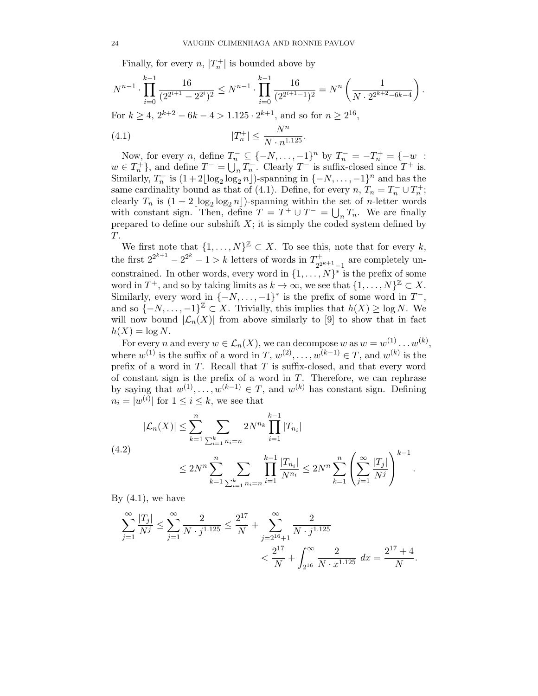Finally, for every  $n$ ,  $|T_n^+|$  is bounded above by

$$
N^{n-1} \cdot \prod_{i=0}^{k-1} \frac{16}{(2^{2^{i+1}} - 2^{2^i})^2} \le N^{n-1} \cdot \prod_{i=0}^{k-1} \frac{16}{(2^{2^{i+1}} - 1)^2} = N^n \left(\frac{1}{N \cdot 2^{2^{k+2} - 6k - 4}}\right).
$$
  
For  $k \ge 4$ ,  $2^{k+2} - 6k - 4 > 1.125 \cdot 2^{k+1}$ , and so for  $n \ge 2^{16}$ ,  
(4.1)  $|T_n^+| \le \frac{N^n}{N \cdot n^{1.125}}$ .

Now, for every *n*, define  $T_n^- \subseteq \{-N, \ldots, -1\}^n$  by  $T_n^- = -T_n^+ = \{-w$ :  $w \in T_n^+$ , and define  $T^- = \bigcup_n T_n^-$ . Clearly  $T^-$  is suffix-closed since  $T^+$  is. Similarly,  $T_n^-$  is  $(1+2\lfloor \log_2 \log_2 n \rfloor)$ -spanning in  $\{-N, \ldots, -1\}^n$  and has the same cardinality bound as that of (4.1). Define, for every  $n, T_n = T_n^- \cup T_n^+$ ; clearly  $T_n$  is  $(1+2\lfloor \log_2 \log_2 n \rfloor)$ -spanning within the set of *n*-letter words with constant sign. Then, define  $T = T^+ \cup T^- = \bigcup_n T_n$ . We are finally prepared to define our subshift  $X$ ; it is simply the coded system defined by T.

We first note that  $\{1, \ldots, N\}^{\mathbb{Z}} \subset X$ . To see this, note that for every k, the first  $2^{2^{k+1}} - 2^{2^{k}} - 1 > k$  letters of words in  $T_{2^2}^+$  $\frac{2^{2k+1}-1}{2^{2k+1}-1}$  are completely unconstrained. In other words, every word in  $\{1, \ldots, N\}^*$  is the prefix of some word in  $T^+$ , and so by taking limits as  $k \to \infty$ , we see that  $\{1, \ldots, N\}^{\mathbb{Z}} \subset X$ . Similarly, every word in  $\{-N, \ldots, -1\}^*$  is the prefix of some word in  $T^-$ , and so  $\{-N, \ldots, -1\}^{\mathbb{Z}} \subset X$ . Trivially, this implies that  $h(X) \ge \log N$ . We will now bound  $|\mathcal{L}_n(X)|$  from above similarly to [9] to show that in fact  $h(X) = \log N$ .

For every n and every  $w \in \mathcal{L}_n(X)$ , we can decompose w as  $w = w^{(1)} \dots w^{(k)}$ , where  $w^{(1)}$  is the suffix of a word in  $T, w^{(2)}, \ldots, w^{(k-1)} \in T$ , and  $w^{(k)}$  is the prefix of a word in  $T$ . Recall that  $T$  is suffix-closed, and that every word of constant sign is the prefix of a word in  $T$ . Therefore, we can rephrase by saying that  $w^{(1)}, \ldots, w^{(k-1)} \in T$ , and  $w^{(k)}$  has constant sign. Defining  $n_i = |w^{(i)}|$  for  $1 \leq i \leq k$ , we see that

$$
|\mathcal{L}_n(X)| \leq \sum_{k=1}^n \sum_{\sum_{i=1}^k n_i = n} 2N^{n_k} \prod_{i=1}^{k-1} |T_{n_i}|
$$
  
(4.2)  

$$
\leq 2N^n \sum_{k=1}^n \sum_{\sum_{i=1}^k n_i = n} \prod_{i=1}^{k-1} \frac{|T_{n_i}|}{N^{n_i}} \leq 2N^n \sum_{k=1}^n \left(\sum_{j=1}^\infty \frac{|T_j|}{N^j}\right)^{k-1}.
$$

By  $(4.1)$ , we have

$$
\sum_{j=1}^{\infty} \frac{|T_j|}{N^j} \le \sum_{j=1}^{\infty} \frac{2}{N \cdot j^{1.125}} \le \frac{2^{17}}{N} + \sum_{j=2^{16}+1}^{\infty} \frac{2}{N \cdot j^{1.125}} \le \frac{2^{17}}{N} + \int_{2^{16}}^{\infty} \frac{2}{N \cdot x^{1.125}} dx = \frac{2^{17}+4}{N}.
$$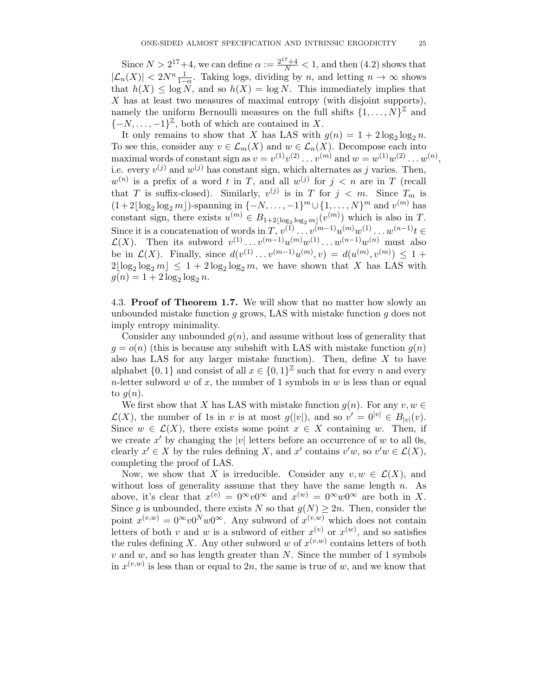Since  $N > 2^{17}+4$ , we can define  $\alpha := \frac{2^{17}+4}{N} < 1$ , and then (4.2) shows that  $|\mathcal{L}_n(X)| < 2N^n \frac{1}{1-\alpha}$ . Taking logs, dividing by n, and letting  $n \to \infty$  shows that  $h(X) \leq \log N$ , and so  $h(X) = \log N$ . This immediately implies that X has at least two measures of maximal entropy (with disjoint supports), namely the uniform Bernoulli measures on the full shifts  $\{1, \ldots, N\}^{\mathbb{Z}}$  and  $\{-N, \ldots, -1\}^{\mathbb{Z}},$  both of which are contained in X.

It only remains to show that X has LAS with  $g(n) = 1 + 2\log_2 \log_2 n$ . To see this, consider any  $v \in \mathcal{L}_m(X)$  and  $w \in \mathcal{L}_n(X)$ . Decompose each into maximal words of constant sign as  $v = v^{(1)}v^{(2)} \dots v^{(m)}$  and  $w = w^{(1)}w^{(2)} \dots w^{(n)}$ , i.e. every  $v^{(j)}$  and  $w^{(j)}$  has constant sign, which alternates as j varies. Then,  $w^{(n)}$  is a prefix of a word t in T, and all  $w^{(j)}$  for  $j < n$  are in T (recall that T is suffix-closed). Similarly,  $v^{(j)}$  is in T for  $j < m$ . Since  $T_m$  is  $(1+2\lfloor \log_2 \log_2 m \rfloor)$ -spanning in  $\{-N, \ldots, -1\}^m \cup \{1, \ldots, N\}^m$  and  $v^{(m)}$  has constant sign, there exists  $u^{(m)} \in B_{1+2\lfloor \log_2 \log_2 m \rfloor}(v^{(m)})$  which is also in T. Since it is a concatenation of words in  $T, v^{(1)} \dots v^{(m-1)} u^{(m)} w^{(1)} \dots w^{(n-1)} t \in$  $\mathcal{L}(X)$ . Then its subword  $v^{(1)} \dots v^{(m-1)} u^{(m)} w^{(1)} \dots w^{(n-1)} w^{(n)}$  must also be in  $\mathcal{L}(X)$ . Finally, since  $d(v^{(1)} \dots v^{(m-1)} u^{(m)}, v) = d(u^{(m)}, v^{(m)}) \leq 1 +$  $2\lfloor \log_2 \log_2 m \rfloor \leq 1 + 2\log_2 \log_2 m$ , we have shown that X has LAS with  $g(n) = 1 + 2 \log_2 \log_2 n$ .

4.3. **Proof of Theorem 1.7.** We will show that no matter how slowly an unbounded mistake function  $g$  grows, LAS with mistake function  $g$  does not imply entropy minimality.

Consider any unbounded  $q(n)$ , and assume without loss of generality that  $g = o(n)$  (this is because any subshift with LAS with mistake function  $g(n)$ ) also has LAS for any larger mistake function). Then, define  $X$  to have alphabet  $\{0,1\}$  and consist of all  $x \in \{0,1\}^{\mathbb{Z}}$  such that for every *n* and every n-letter subword w of x, the number of 1 symbols in w is less than or equal to  $q(n)$ .

We first show that X has LAS with mistake function  $g(n)$ . For any  $v, w \in \mathbb{R}$  $\mathcal{L}(X)$ , the number of 1s in v is at most  $g(|v|)$ , and so  $v' = 0^{|v|} \in B_{|v|}(v)$ . Since  $w \in \mathcal{L}(X)$ , there exists some point  $x \in X$  containing w. Then, if we create x' by changing the |v| letters before an occurrence of w to all 0s, clearly  $x' \in X$  by the rules defining X, and  $x'$  contains  $v'w$ , so  $v'w \in \mathcal{L}(X)$ , completing the proof of LAS.

Now, we show that X is irreducible. Consider any  $v, w \in \mathcal{L}(X)$ , and without loss of generality assume that they have the same length  $n$ . As above, it's clear that  $x^{(v)} = 0^{\infty} v 0^{\infty}$  and  $x^{(w)} = 0^{\infty} w 0^{\infty}$  are both in X. Since g is unbounded, there exists N so that  $g(N) \geq 2n$ . Then, consider the point  $x^{(v,w)} = 0^{\infty} v 0^N w 0^{\infty}$ . Any subword of  $x^{(v,w)}$  which does not contain letters of both v and w is a subword of either  $x^{(v)}$  or  $x^{(w)}$ , and so satisfies the rules defining X. Any other subword w of  $x^{(v,w)}$  contains letters of both  $v$  and  $w$ , and so has length greater than  $N$ . Since the number of 1 symbols in  $x^{(v,w)}$  is less than or equal to 2n, the same is true of w, and we know that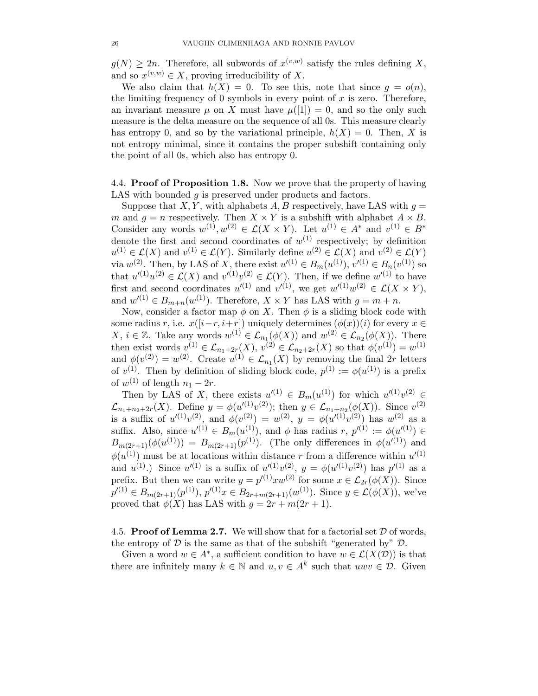$g(N) \geq 2n$ . Therefore, all subwords of  $x^{(v,w)}$  satisfy the rules defining X, and so  $x^{(v,w)} \in X$ , proving irreducibility of X.

We also claim that  $h(X) = 0$ . To see this, note that since  $g = o(n)$ , the limiting frequency of 0 symbols in every point of  $x$  is zero. Therefore, an invariant measure  $\mu$  on X must have  $\mu([1]) = 0$ , and so the only such measure is the delta measure on the sequence of all 0s. This measure clearly has entropy 0, and so by the variational principle,  $h(X) = 0$ . Then, X is not entropy minimal, since it contains the proper subshift containing only the point of all 0s, which also has entropy 0.

4.4. Proof of Proposition 1.8. Now we prove that the property of having LAS with bounded q is preserved under products and factors.

Suppose that X, Y, with alphabets A, B respectively, have LAS with  $q =$ m and  $g = n$  respectively. Then  $X \times Y$  is a subshift with alphabet  $A \times B$ . Consider any words  $w^{(1)}, w^{(2)} \in \mathcal{L}(X \times Y)$ . Let  $u^{(1)} \in A^*$  and  $v^{(1)} \in B^*$ denote the first and second coordinates of  $w^{(1)}$  respectively; by definition  $u^{(1)} \in \mathcal{L}(X)$  and  $v^{(1)} \in \mathcal{L}(Y)$ . Similarly define  $u^{(2)} \in \mathcal{L}(X)$  and  $v^{(2)} \in \mathcal{L}(Y)$ via  $w^{(2)}$ . Then, by LAS of X, there exist  $u'^{(1)} \in B_m(u^{(1)}), v'^{(1)} \in B_n(v^{(1)})$  so that  $u'^{(1)}u^{(2)} \in \mathcal{L}(X)$  and  $v'^{(1)}v^{(2)} \in \mathcal{L}(Y)$ . Then, if we define  $w'^{(1)}$  to have first and second coordinates  $u'^{(1)}$  and  $v'^{(1)}$ , we get  $w'^{(1)}w^{(2)} \in \mathcal{L}(X \times Y)$ , and  $w'(1) \in B_{m+n}(w^{(1)})$ . Therefore,  $X \times Y$  has LAS with  $g = m+n$ .

Now, consider a factor map  $\phi$  on X. Then  $\phi$  is a sliding block code with some radius r, i.e.  $x([i-r, i+r])$  uniquely determines  $(\phi(x))(i)$  for every  $x \in$  $X, i \in \mathbb{Z}$ . Take any words  $w^{(1)} \in \mathcal{L}_{n_1}(\phi(X))$  and  $w^{(2)} \in \mathcal{L}_{n_2}(\phi(X))$ . There then exist words  $v^{(1)} \in \mathcal{L}_{n_1+2r}(X), v^{(2)} \in \mathcal{L}_{n_2+2r}(X)$  so that  $\phi(v^{(1)}) = w^{(1)}$ and  $\phi(v^{(2)}) = w^{(2)}$ . Create  $u^{(1)} \in \mathcal{L}_{n_1}(X)$  by removing the final 2r letters of  $v^{(1)}$ . Then by definition of sliding block code,  $p^{(1)} := \phi(u^{(1)})$  is a prefix of  $w^{(1)}$  of length  $n_1 - 2r$ .

Then by LAS of X, there exists  $u'^{(1)} \in B_m(u^{(1)})$  for which  $u'^{(1)}v^{(2)} \in$  $\mathcal{L}_{n_1+n_2+2r}(X)$ . Define  $y = \phi(u'^{(1)}v^{(2)})$ ; then  $y \in \mathcal{L}_{n_1+n_2}(\phi(X))$ . Since  $v^{(2)}$ is a suffix of  $u^{(1)}v^{(2)}$ , and  $\phi(v^{(2)}) = w^{(2)}$ ,  $y = \phi(u^{(1)}v^{(2)})$  has  $w^{(2)}$  as a suffix. Also, since  $u'^{(1)} \in B_m(u^{(1)}),$  and  $\phi$  has radius  $r, p'^{(1)} := \phi(u'^{(1)}) \in$  $B_{m(2r+1)}(\phi(u^{(1)})) = B_{m(2r+1)}(p^{(1)})$ . (The only differences in  $\phi(u^{(1)})$  and  $\phi(u^{(1)})$  must be at locations within distance r from a difference within  $u'^{(1)}$ and  $u^{(1)}$ .) Since  $u'^{(1)}$  is a suffix of  $u'^{(1)}v^{(2)}$ ,  $y = \phi(u'^{(1)}v^{(2)})$  has  $p'^{(1)}$  as a prefix. But then we can write  $y = p^{(1)}xw^{(2)}$  for some  $x \in \mathcal{L}_{2r}(\phi(X))$ . Since  $p'^{(1)} \in B_{m(2r+1)}(p^{(1)}), p'^{(1)}x \in B_{2r+m(2r+1)}(w^{(1)}).$  Since  $y \in \mathcal{L}(\phi(X))$ , we've proved that  $\phi(X)$  has LAS with  $g = 2r + m(2r + 1)$ .

4.5. Proof of Lemma 2.7. We will show that for a factorial set  $D$  of words, the entropy of  $D$  is the same as that of the subshift "generated by"  $D$ .

Given a word  $w \in A^*$ , a sufficient condition to have  $w \in \mathcal{L}(X(\mathcal{D}))$  is that there are infinitely many  $k \in \mathbb{N}$  and  $u, v \in A^k$  such that  $uwv \in \mathcal{D}$ . Given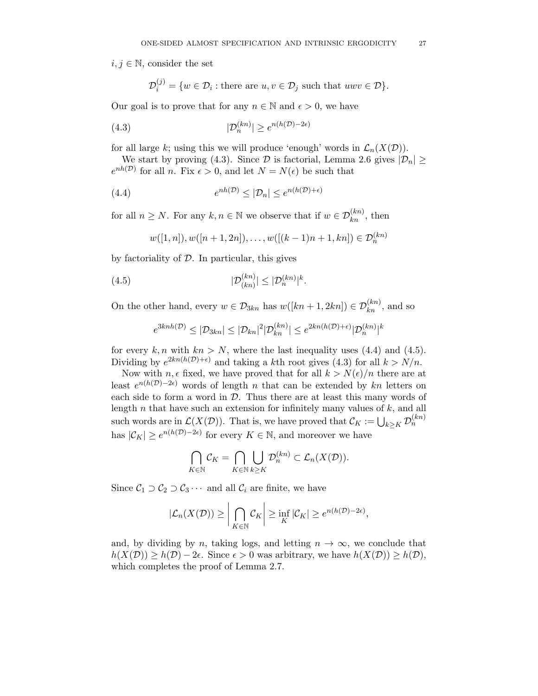$i, j \in \mathbb{N}$ , consider the set

$$
\mathcal{D}_i^{(j)} = \{ w \in \mathcal{D}_i : \text{there are } u, v \in \mathcal{D}_j \text{ such that } uwv \in \mathcal{D} \}.
$$

Our goal is to prove that for any  $n \in \mathbb{N}$  and  $\epsilon > 0$ , we have

$$
(4.3) \t\t |\mathcal{D}_n^{(kn)}| \ge e^{n(h(\mathcal{D}) - 2\epsilon)}
$$

for all large k; using this we will produce 'enough' words in  $\mathcal{L}_n(X(\mathcal{D}))$ .

We start by proving (4.3). Since  $\mathcal D$  is factorial, Lemma 2.6 gives  $|\mathcal D_n| \geq$  $e^{nh(\mathcal{D})}$  for all n. Fix  $\epsilon > 0$ , and let  $N = N(\epsilon)$  be such that

(4.4) 
$$
e^{nh(\mathcal{D})} \leq |\mathcal{D}_n| \leq e^{n(h(\mathcal{D})+\epsilon)}
$$

for all  $n \geq N$ . For any  $k, n \in \mathbb{N}$  we observe that if  $w \in \mathcal{D}_{kn}^{(kn)}$ , then

$$
w([1, n]), w([n + 1, 2n]), \ldots, w([(k-1)n + 1, kn]) \in \mathcal{D}_n^{(kn)}
$$

by factoriality of  $D$ . In particular, this gives

$$
(4.5) \t\t\t |\mathcal{D}_{(kn)}^{(kn)}| \leq |\mathcal{D}_n^{(kn)}|^k.
$$

On the other hand, every  $w \in \mathcal{D}_{3kn}$  has  $w([kn + 1, 2kn]) \in \mathcal{D}_{kn}^{(kn)}$ , and so

$$
e^{3knh(\mathcal{D})} \leq |\mathcal{D}_{3kn}| \leq |\mathcal{D}_{kn}|^2 |\mathcal{D}_{kn}^{(kn)}| \leq e^{2kn(h(\mathcal{D})+\epsilon)} |\mathcal{D}_n^{(kn)}|^k
$$

for every  $k, n$  with  $kn > N$ , where the last inequality uses (4.4) and (4.5). Dividing by  $e^{2kn(h(\mathcal{D})+\epsilon)}$  and taking a kth root gives (4.3) for all  $k > N/n$ .

Now with  $n, \epsilon$  fixed, we have proved that for all  $k > N(\epsilon)/n$  there are at least  $e^{n(h(\mathcal{D})-2\epsilon)}$  words of length n that can be extended by kn letters on each side to form a word in  $D$ . Thus there are at least this many words of length  $n$  that have such an extension for infinitely many values of  $k$ , and all such words are in  $\mathcal{L}(X(\mathcal{D}))$ . That is, we have proved that  $\mathcal{C}_K := \bigcup_{k \geq K} \mathcal{D}_n^{(kn)}$ has  $|\mathcal{C}_K| \geq e^{n(h(\mathcal{D}) - 2\epsilon)}$  for every  $K \in \mathbb{N}$ , and moreover we have

$$
\bigcap_{K \in \mathbb{N}} \mathcal{C}_K = \bigcap_{K \in \mathbb{N}} \bigcup_{k \geq K} \mathcal{D}_n^{(kn)} \subset \mathcal{L}_n(X(\mathcal{D})).
$$

Since  $C_1 \supset C_2 \supset C_3 \cdots$  and all  $C_i$  are finite, we have

$$
|\mathcal{L}_n(X(\mathcal{D})) \geq \left| \bigcap_{K \in \mathbb{N}} \mathcal{C}_K \right| \geq \inf_K |\mathcal{C}_K| \geq e^{n(h(\mathcal{D}) - 2\epsilon)},
$$

and, by dividing by n, taking logs, and letting  $n \to \infty$ , we conclude that  $h(X(\mathcal{D})) \geq h(\mathcal{D}) - 2\epsilon$ . Since  $\epsilon > 0$  was arbitrary, we have  $h(X(\mathcal{D})) \geq h(\mathcal{D})$ , which completes the proof of Lemma 2.7.